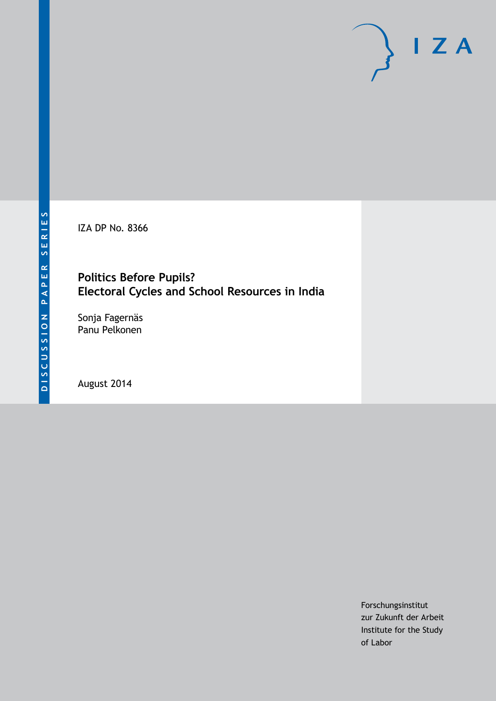IZA DP No. 8366

# **Politics Before Pupils? Electoral Cycles and School Resources in India**

Sonja Fagernäs Panu Pelkonen

August 2014

Forschungsinstitut zur Zukunft der Arbeit Institute for the Study of Labor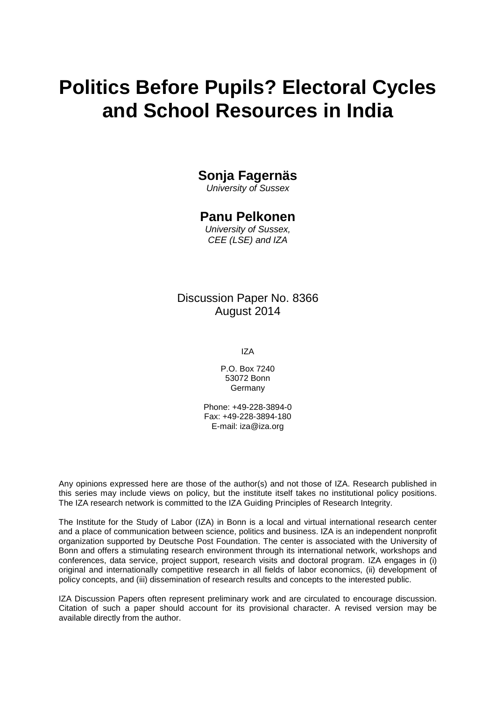# **Politics Before Pupils? Electoral Cycles and School Resources in India**

# **Sonja Fagernäs**

*University of Sussex*

# **Panu Pelkonen**

*University of Sussex, CEE (LSE) and IZA*

# Discussion Paper No. 8366 August 2014

IZA

P.O. Box 7240 53072 Bonn **Germany** 

Phone: +49-228-3894-0 Fax: +49-228-3894-180 E-mail: [iza@iza.org](mailto:iza@iza.org)

Any opinions expressed here are those of the author(s) and not those of IZA. Research published in this series may include views on policy, but the institute itself takes no institutional policy positions. The IZA research network is committed to the IZA Guiding Principles of Research Integrity.

The Institute for the Study of Labor (IZA) in Bonn is a local and virtual international research center and a place of communication between science, politics and business. IZA is an independent nonprofit organization supported by Deutsche Post Foundation. The center is associated with the University of Bonn and offers a stimulating research environment through its international network, workshops and conferences, data service, project support, research visits and doctoral program. IZA engages in (i) original and internationally competitive research in all fields of labor economics, (ii) development of policy concepts, and (iii) dissemination of research results and concepts to the interested public.

<span id="page-1-0"></span>IZA Discussion Papers often represent preliminary work and are circulated to encourage discussion. Citation of such a paper should account for its provisional character. A revised version may be available directly from the author.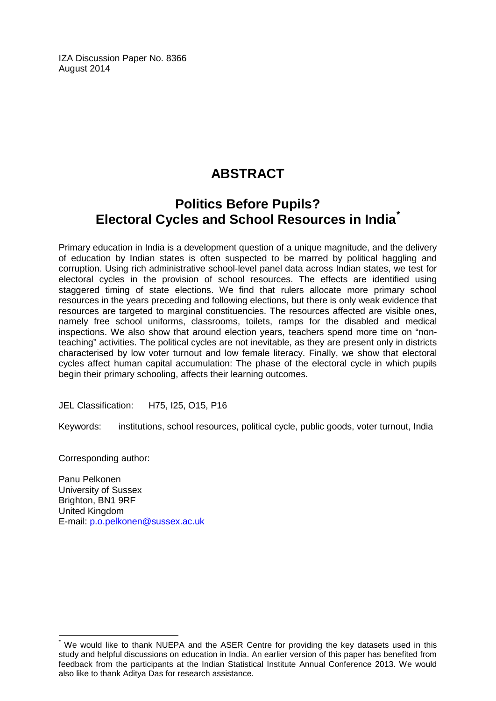IZA Discussion Paper No. 8366 August 2014

# **ABSTRACT**

# **Politics Before Pupils? Electoral Cycles and School Resources in India[\\*](#page-1-0)**

Primary education in India is a development question of a unique magnitude, and the delivery of education by Indian states is often suspected to be marred by political haggling and corruption. Using rich administrative school-level panel data across Indian states, we test for electoral cycles in the provision of school resources. The effects are identified using staggered timing of state elections. We find that rulers allocate more primary school resources in the years preceding and following elections, but there is only weak evidence that resources are targeted to marginal constituencies. The resources affected are visible ones, namely free school uniforms, classrooms, toilets, ramps for the disabled and medical inspections. We also show that around election years, teachers spend more time on "nonteaching" activities. The political cycles are not inevitable, as they are present only in districts characterised by low voter turnout and low female literacy. Finally, we show that electoral cycles affect human capital accumulation: The phase of the electoral cycle in which pupils begin their primary schooling, affects their learning outcomes.

JEL Classification: H75, I25, O15, P16

Keywords: institutions, school resources, political cycle, public goods, voter turnout, India

Corresponding author:

Panu Pelkonen University of Sussex Brighton, BN1 9RF United Kingdom E-mail: [p.o.pelkonen@sussex.ac.uk](mailto:p.o.pelkonen@sussex.ac.uk)

We would like to thank NUEPA and the ASER Centre for providing the key datasets used in this study and helpful discussions on education in India. An earlier version of this paper has benefited from feedback from the participants at the Indian Statistical Institute Annual Conference 2013. We would also like to thank Aditya Das for research assistance.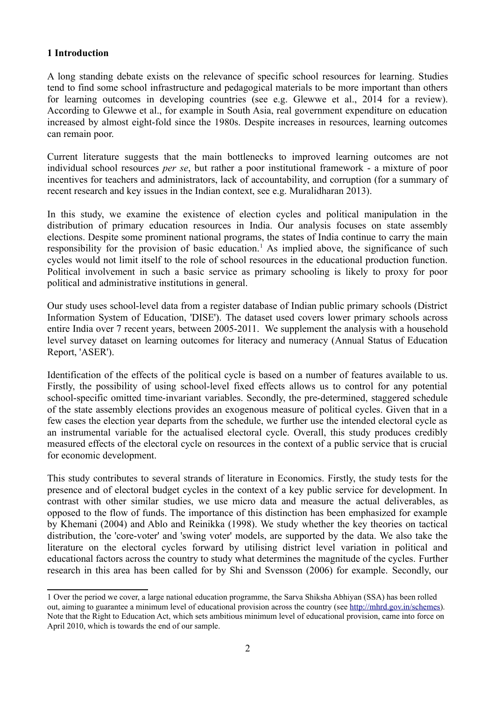#### **1 Introduction**

A long standing debate exists on the relevance of specific school resources for learning. Studies tend to find some school infrastructure and pedagogical materials to be more important than others for learning outcomes in developing countries (see e.g. Glewwe et al., 2014 for a review). According to Glewwe et al., for example in South Asia, real government expenditure on education increased by almost eight-fold since the 1980s. Despite increases in resources, learning outcomes can remain poor.

Current literature suggests that the main bottlenecks to improved learning outcomes are not individual school resources *per se*, but rather a poor institutional framework - a mixture of poor incentives for teachers and administrators, lack of accountability, and corruption (for a summary of recent research and key issues in the Indian context, see e.g. Muralidharan 2013).

In this study, we examine the existence of election cycles and political manipulation in the distribution of primary education resources in India. Our analysis focuses on state assembly elections. Despite some prominent national programs, the states of India continue to carry the main responsibility for the provision of basic education.<sup>[1](#page-3-0)</sup> As implied above, the significance of such cycles would not limit itself to the role of school resources in the educational production function. Political involvement in such a basic service as primary schooling is likely to proxy for poor political and administrative institutions in general.

Our study uses school-level data from a register database of Indian public primary schools (District Information System of Education, 'DISE'). The dataset used covers lower primary schools across entire India over 7 recent years, between 2005-2011. We supplement the analysis with a household level survey dataset on learning outcomes for literacy and numeracy (Annual Status of Education Report, 'ASER').

Identification of the effects of the political cycle is based on a number of features available to us. Firstly, the possibility of using school-level fixed effects allows us to control for any potential school-specific omitted time-invariant variables. Secondly, the pre-determined, staggered schedule of the state assembly elections provides an exogenous measure of political cycles. Given that in a few cases the election year departs from the schedule, we further use the intended electoral cycle as an instrumental variable for the actualised electoral cycle. Overall, this study produces credibly measured effects of the electoral cycle on resources in the context of a public service that is crucial for economic development.

This study contributes to several strands of literature in Economics. Firstly, the study tests for the presence and of electoral budget cycles in the context of a key public service for development. In contrast with other similar studies, we use micro data and measure the actual deliverables, as opposed to the flow of funds. The importance of this distinction has been emphasized for example by Khemani (2004) and Ablo and Reinikka (1998). We study whether the key theories on tactical distribution, the 'core-voter' and 'swing voter' models, are supported by the data. We also take the literature on the electoral cycles forward by utilising district level variation in political and educational factors across the country to study what determines the magnitude of the cycles. Further research in this area has been called for by Shi and Svensson (2006) for example. Secondly, our

<span id="page-3-0"></span><sup>1</sup> Over the period we cover, a large national education programme, the Sarva Shiksha Abhiyan (SSA) has been rolled out, aiming to guarantee a minimum level of educational provision across the country (see [http://mhrd.gov.in/schemes\)](http://mhrd.gov.in/schemes). Note that the Right to Education Act, which sets ambitious minimum level of educational provision, came into force on April 2010, which is towards the end of our sample.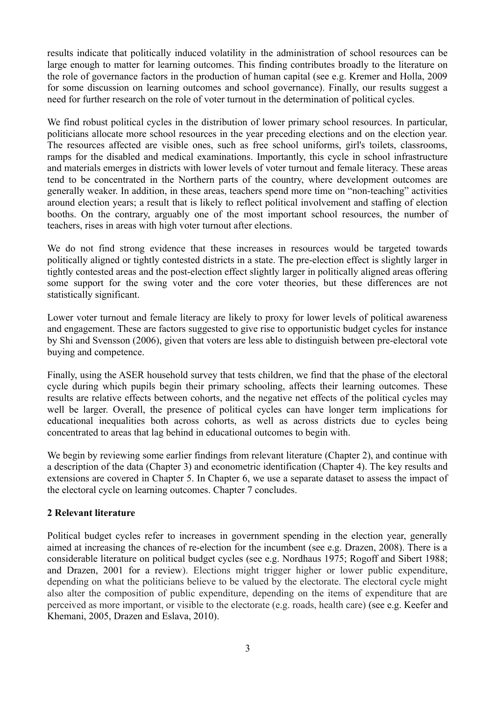results indicate that politically induced volatility in the administration of school resources can be large enough to matter for learning outcomes. This finding contributes broadly to the literature on the role of governance factors in the production of human capital (see e.g. Kremer and Holla, 2009 for some discussion on learning outcomes and school governance). Finally, our results suggest a need for further research on the role of voter turnout in the determination of political cycles.

We find robust political cycles in the distribution of lower primary school resources. In particular, politicians allocate more school resources in the year preceding elections and on the election year. The resources affected are visible ones, such as free school uniforms, girl's toilets, classrooms, ramps for the disabled and medical examinations. Importantly, this cycle in school infrastructure and materials emerges in districts with lower levels of voter turnout and female literacy. These areas tend to be concentrated in the Northern parts of the country, where development outcomes are generally weaker. In addition, in these areas, teachers spend more time on "non-teaching" activities around election years; a result that is likely to reflect political involvement and staffing of election booths. On the contrary, arguably one of the most important school resources, the number of teachers, rises in areas with high voter turnout after elections.

We do not find strong evidence that these increases in resources would be targeted towards politically aligned or tightly contested districts in a state. The pre-election effect is slightly larger in tightly contested areas and the post-election effect slightly larger in politically aligned areas offering some support for the swing voter and the core voter theories, but these differences are not statistically significant.

Lower voter turnout and female literacy are likely to proxy for lower levels of political awareness and engagement. These are factors suggested to give rise to opportunistic budget cycles for instance by Shi and Svensson (2006), given that voters are less able to distinguish between pre-electoral vote buying and competence.

Finally, using the ASER household survey that tests children, we find that the phase of the electoral cycle during which pupils begin their primary schooling, affects their learning outcomes. These results are relative effects between cohorts, and the negative net effects of the political cycles may well be larger. Overall, the presence of political cycles can have longer term implications for educational inequalities both across cohorts, as well as across districts due to cycles being concentrated to areas that lag behind in educational outcomes to begin with.

We begin by reviewing some earlier findings from relevant literature (Chapter 2), and continue with a description of the data (Chapter 3) and econometric identification (Chapter 4). The key results and extensions are covered in Chapter 5. In Chapter 6, we use a separate dataset to assess the impact of the electoral cycle on learning outcomes. Chapter 7 concludes.

# **2 Relevant literature**

Political budget cycles refer to increases in government spending in the election year, generally aimed at increasing the chances of re-election for the incumbent (see e.g. Drazen, 2008). There is a considerable literature on political budget cycles (see e.g. Nordhaus 1975; Rogoff and Sibert 1988; and Drazen, 2001 for a review). Elections might trigger higher or lower public expenditure, depending on what the politicians believe to be valued by the electorate. The electoral cycle might also alter the composition of public expenditure, depending on the items of expenditure that are perceived as more important, or visible to the electorate (e.g. roads, health care) (see e.g. Keefer and Khemani, 2005, Drazen and Eslava, 2010).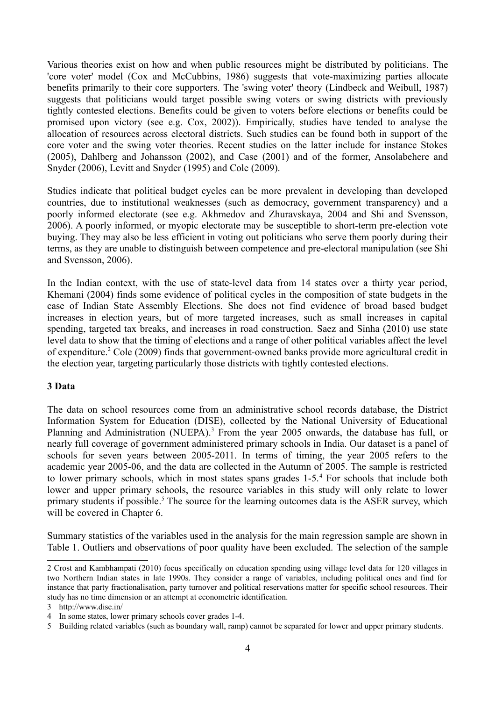Various theories exist on how and when public resources might be distributed by politicians. The 'core voter' model (Cox and McCubbins, 1986) suggests that vote-maximizing parties allocate benefits primarily to their core supporters. The 'swing voter' theory (Lindbeck and Weibull, 1987) suggests that politicians would target possible swing voters or swing districts with previously tightly contested elections. Benefits could be given to voters before elections or benefits could be promised upon victory (see e.g. Cox, 2002)). Empirically, studies have tended to analyse the allocation of resources across electoral districts. Such studies can be found both in support of the core voter and the swing voter theories. Recent studies on the latter include for instance Stokes (2005), Dahlberg and Johansson (2002), and Case (2001) and of the former, Ansolabehere and Snyder (2006), Levitt and Snyder (1995) and Cole (2009).

Studies indicate that political budget cycles can be more prevalent in developing than developed countries, due to institutional weaknesses (such as democracy, government transparency) and a poorly informed electorate (see e.g. Akhmedov and Zhuravskaya, 2004 and Shi and Svensson, 2006). A poorly informed, or myopic electorate may be susceptible to short-term pre-election vote buying. They may also be less efficient in voting out politicians who serve them poorly during their terms, as they are unable to distinguish between competence and pre-electoral manipulation (see Shi and Svensson, 2006).

In the Indian context, with the use of state-level data from 14 states over a thirty year period, Khemani (2004) finds some evidence of political cycles in the composition of state budgets in the case of Indian State Assembly Elections. She does not find evidence of broad based budget increases in election years, but of more targeted increases, such as small increases in capital spending, targeted tax breaks, and increases in road construction. Saez and Sinha (2010) use state level data to show that the timing of elections and a range of other political variables affect the level of expenditure.<sup>[2](#page-5-0)</sup> Cole (2009) finds that government-owned banks provide more agricultural credit in the election year, targeting particularly those districts with tightly contested elections.

#### **3 Data**

The data on school resources come from an administrative school records database, the District Information System for Education (DISE), collected by the National University of Educational Planning and Administration (NUEPA).<sup>[3](#page-5-1)</sup> From the year 2005 onwards, the database has full, or nearly full coverage of government administered primary schools in India. Our dataset is a panel of schools for seven years between 2005-2011. In terms of timing, the year 2005 refers to the academic year 2005-06, and the data are collected in the Autumn of 2005. The sample is restricted to lower primary schools, which in most states spans grades 1-5.[4](#page-5-2) For schools that include both lower and upper primary schools, the resource variables in this study will only relate to lower primary students if possible.<sup>[5](#page-5-3)</sup> The source for the learning outcomes data is the ASER survey, which will be covered in Chapter 6.

Summary statistics of the variables used in the analysis for the main regression sample are shown in Table 1. Outliers and observations of poor quality have been excluded. The selection of the sample

<span id="page-5-0"></span><sup>2</sup> Crost and Kambhampati (2010) focus specifically on education spending using village level data for 120 villages in two Northern Indian states in late 1990s. They consider a range of variables, including political ones and find for instance that party fractionalisation, party turnover and political reservations matter for specific school resources. Their study has no time dimension or an attempt at econometric identification.

<span id="page-5-1"></span><sup>3</sup> http://www.dise.in/

<span id="page-5-2"></span><sup>4</sup> In some states, lower primary schools cover grades 1-4.

<span id="page-5-3"></span><sup>5</sup> Building related variables (such as boundary wall, ramp) cannot be separated for lower and upper primary students.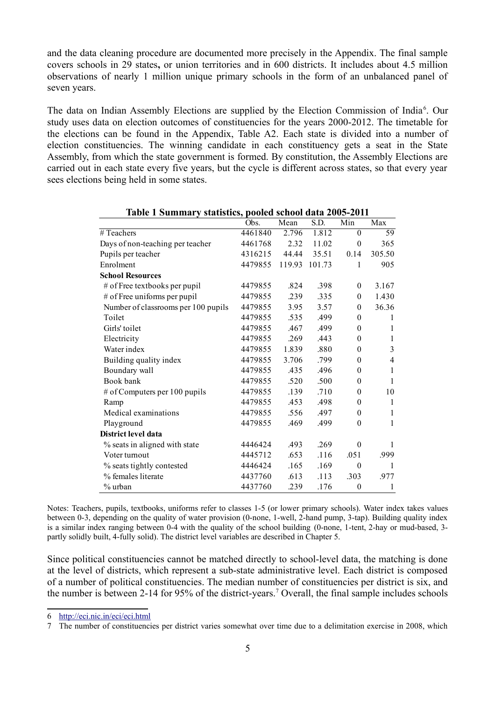and the data cleaning procedure are documented more precisely in the Appendix. The final sample covers schools in 29 states**,** or union territories and in 600 districts. It includes about 4.5 million observations of nearly 1 million unique primary schools in the form of an unbalanced panel of seven years.

The data on Indian Assembly Elections are supplied by the Election Commission of India<sup>[6](#page-6-0)</sup>. Our study uses data on election outcomes of constituencies for the years 2000-2012. The timetable for the elections can be found in the Appendix, Table A2. Each state is divided into a number of election constituencies. The winning candidate in each constituency gets a seat in the State Assembly, from which the state government is formed. By constitution, the Assembly Elections are carried out in each state every five years, but the cycle is different across states, so that every year sees elections being held in some states.

|                                     | Obs.    | Mean   | S.D.   | Min              | Max            |
|-------------------------------------|---------|--------|--------|------------------|----------------|
| # Teachers                          | 4461840 | 2.796  | 1.812  | $\theta$         | 59             |
| Days of non-teaching per teacher    | 4461768 | 2.32   | 11.02  | $\theta$         | 365            |
| Pupils per teacher                  | 4316215 | 44.44  | 35.51  | 0.14             | 305.50         |
| Enrolment                           | 4479855 | 119.93 | 101.73 | $\mathbf{1}$     | 905            |
| <b>School Resources</b>             |         |        |        |                  |                |
| # of Free textbooks per pupil       | 4479855 | .824   | .398   | $\mathbf{0}$     | 3.167          |
| # of Free uniforms per pupil        | 4479855 | .239   | .335   | $\theta$         | 1.430          |
| Number of classrooms per 100 pupils | 4479855 | 3.95   | 3.57   | $\theta$         | 36.36          |
| Toilet                              | 4479855 | .535   | .499   | $\theta$         | 1              |
| Girls' toilet                       | 4479855 | .467   | .499   | $\theta$         | 1              |
| Electricity                         | 4479855 | .269   | .443   | $\theta$         | 1              |
| Water index                         | 4479855 | 1.839  | .880   | $\theta$         | 3              |
| Building quality index              | 4479855 | 3.706  | .799   | $\theta$         | $\overline{4}$ |
| Boundary wall                       | 4479855 | .435   | .496   | $\theta$         | $\mathbf{1}$   |
| Book bank                           | 4479855 | .520   | .500   | $\theta$         | $\mathbf{1}$   |
| # of Computers per 100 pupils       | 4479855 | .139   | .710   | $\theta$         | 10             |
| Ramp                                | 4479855 | .453   | .498   | $\theta$         | 1              |
| Medical examinations                | 4479855 | .556   | .497   | $\theta$         | 1              |
| Playground                          | 4479855 | .469   | .499   | $\boldsymbol{0}$ | $\mathbf{1}$   |
| District level data                 |         |        |        |                  |                |
| % seats in aligned with state       | 4446424 | .493   | .269   | $\theta$         | 1              |
| Voter turnout                       | 4445712 | .653   | .116   | .051             | .999           |
| % seats tightly contested           | 4446424 | .165   | .169   | $\theta$         | 1              |
| % females literate                  | 4437760 | .613   | .113   | .303             | .977           |
| $\%$ urban                          | 4437760 | .239   | .176   | $\boldsymbol{0}$ | 1              |

**Table 1 Summary statistics, pooled school data 2005-2011**

Notes: Teachers, pupils, textbooks, uniforms refer to classes 1-5 (or lower primary schools). Water index takes values between 0-3, depending on the quality of water provision (0-none, 1-well, 2-hand pump, 3-tap). Building quality index is a similar index ranging between 0-4 with the quality of the school building (0-none, 1-tent, 2-hay or mud-based, 3 partly solidly built, 4-fully solid). The district level variables are described in Chapter 5.

Since political constituencies cannot be matched directly to school-level data, the matching is done at the level of districts, which represent a sub-state administrative level. Each district is composed of a number of political constituencies. The median number of constituencies per district is six, and the number is between 2-14 for 95% of the district-years.<sup>[7](#page-6-1)</sup> Overall, the final sample includes schools

<span id="page-6-0"></span><sup>6</sup><http://eci.nic.in/eci/eci.html>

<span id="page-6-1"></span><sup>7</sup> The number of constituencies per district varies somewhat over time due to a delimitation exercise in 2008, which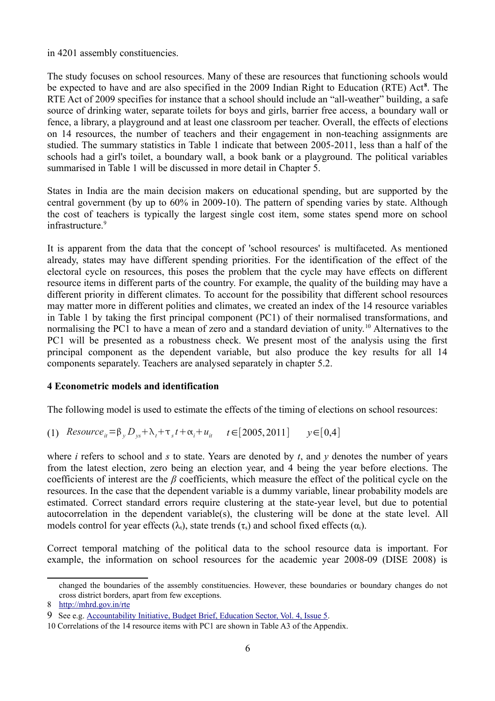in 4201 assembly constituencies.

The study focuses on school resources. Many of these are resources that functioning schools would be expected to have and are also specified in the 2009 Indian Right to Education (RTE) Act<sup>[8](#page-7-0)</sup>. The RTE Act of 2009 specifies for instance that a school should include an "all-weather" building, a safe source of drinking water, separate toilets for boys and girls, barrier free access, a boundary wall or fence, a library, a playground and at least one classroom per teacher. Overall, the effects of elections on 14 resources, the number of teachers and their engagement in non-teaching assignments are studied. The summary statistics in Table 1 indicate that between 2005-2011, less than a half of the schools had a girl's toilet, a boundary wall, a book bank or a playground. The political variables summarised in Table 1 will be discussed in more detail in Chapter 5.

States in India are the main decision makers on educational spending, but are supported by the central government (by up to 60% in 2009-10). The pattern of spending varies by state. Although the cost of teachers is typically the largest single cost item, some states spend more on school infrastructure.<sup>[9](#page-7-1)</sup>

It is apparent from the data that the concept of 'school resources' is multifaceted. As mentioned already, states may have different spending priorities. For the identification of the effect of the electoral cycle on resources, this poses the problem that the cycle may have effects on different resource items in different parts of the country. For example, the quality of the building may have a different priority in different climates. To account for the possibility that different school resources may matter more in different polities and climates, we created an index of the 14 resource variables in Table 1 by taking the first principal component (PC1) of their normalised transformations, and normalising the PC1 to have a mean of zero and a standard deviation of unity.<sup>[10](#page-7-2)</sup> Alternatives to the PC1 will be presented as a robustness check. We present most of the analysis using the first principal component as the dependent variable, but also produce the key results for all 14 components separately. Teachers are analysed separately in chapter 5.2.

# **4 Econometric models and identification**

The following model is used to estimate the effects of the timing of elections on school resources:

(1) *Resource*<sub>*it*</sub> =β<sub>*y*</sub></sub>*D<sub><i>ys*</sub> +λ<sub>t</sub>+τ<sub>*s*</sub>*t* +α<sub>i</sub>+ *u<sub>it</sub> t* ∈[2005,2011] *y* ∈[0,4]

where *i* refers to school and *s* to state. Years are denoted by *t*, and *y* denotes the number of years from the latest election, zero being an election year, and 4 being the year before elections. The coefficients of interest are the *β* coefficients, which measure the effect of the political cycle on the resources. In the case that the dependent variable is a dummy variable, linear probability models are estimated. Correct standard errors require clustering at the state-year level, but due to potential autocorrelation in the dependent variable(s), the clustering will be done at the state level. All models control for year effects ( $\lambda_i$ ), state trends ( $\tau_s$ ) and school fixed effects ( $\alpha_i$ ).

Correct temporal matching of the political data to the school resource data is important. For example, the information on school resources for the academic year 2008-09 (DISE 2008) is

changed the boundaries of the assembly constituencies. However, these boundaries or boundary changes do not cross district borders, apart from few exceptions.

<span id="page-7-0"></span><sup>8</sup><http://mhrd.gov.in/rte>

<span id="page-7-1"></span><sup>9</sup> See e.g. [Accountability Initiative, Budget Brief, Education Sector, Vol. 4, Issue 5.](http://www.academia.edu/1641926/Sarva_Shiksha_Abhiyan_2012-13)

<span id="page-7-2"></span><sup>10</sup> Correlations of the 14 resource items with PC1 are shown in Table A3 of the Appendix.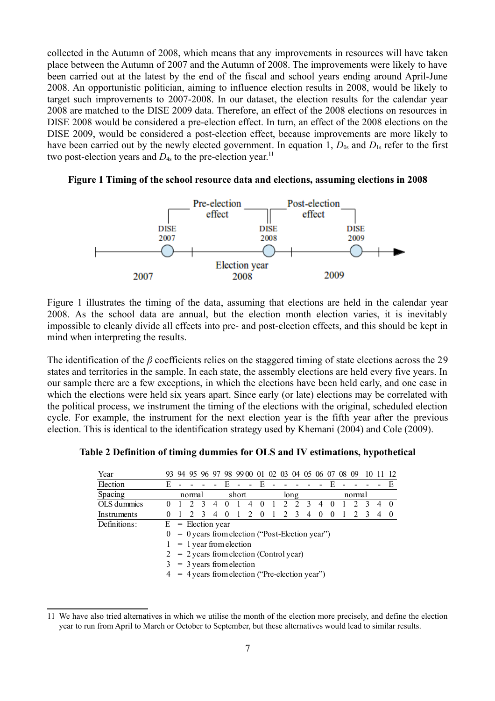collected in the Autumn of 2008, which means that any improvements in resources will have taken place between the Autumn of 2007 and the Autumn of 2008. The improvements were likely to have been carried out at the latest by the end of the fiscal and school years ending around April-June 2008. An opportunistic politician, aiming to influence election results in 2008, would be likely to target such improvements to 2007-2008. In our dataset, the election results for the calendar year 2008 are matched to the DISE 2009 data. Therefore, an effect of the 2008 elections on resources in DISE 2008 would be considered a pre-election effect. In turn, an effect of the 2008 elections on the DISE 2009, would be considered a post-election effect, because improvements are more likely to have been carried out by the newly elected government. In equation 1,  $D_{0s}$  and  $D_{1s}$  refer to the first two post-election years and  $D_{4s}$  to the pre-election year.<sup>[11](#page-8-0)</sup>



#### **Figure 1 Timing of the school resource data and elections, assuming elections in 2008**

Figure 1 illustrates the timing of the data, assuming that elections are held in the calendar year 2008. As the school data are annual, but the election month election varies, it is inevitably impossible to cleanly divide all effects into pre- and post-election effects, and this should be kept in mind when interpreting the results.

The identification of the *β* coefficients relies on the staggered timing of state elections across the 29 states and territories in the sample. In each state, the assembly elections are held every five years. In our sample there are a few exceptions, in which the elections have been held early, and one case in which the elections were held six years apart. Since early (or late) elections may be correlated with the political process, we instrument the timing of the elections with the original, scheduled election cycle. For example, the instrument for the next election year is the fifth year after the previous election. This is identical to the identification strategy used by Khemani (2004) and Cole (2009).

| Year         |          |                     |        |                |          | 94 95 96 97 98 99 00 01 02 03                    |                |              |               |   |              | 04 05 06 07 |          |          | 09     |   |   |          |
|--------------|----------|---------------------|--------|----------------|----------|--------------------------------------------------|----------------|--------------|---------------|---|--------------|-------------|----------|----------|--------|---|---|----------|
| Election     | E        |                     |        |                |          |                                                  |                | $-$ E        |               |   |              |             |          |          |        |   |   | E        |
| Spacing      |          |                     | normal |                |          | short                                            |                |              |               |   | long         |             |          |          | normal |   |   |          |
| OLS dummies  |          |                     |        |                |          |                                                  | 4              |              |               | 2 |              |             |          |          |        |   |   | 0        |
| Instruments  | $\theta$ |                     |        | $\overline{4}$ | $\Omega$ |                                                  | $\overline{2}$ | $\mathbf{0}$ | $\frac{1}{2}$ |   | $2 \sqrt{3}$ | 4           | $\Omega$ | $\theta$ |        | 3 | 4 | $\theta$ |
| Definitions: |          | $E =$ Election year |        |                |          |                                                  |                |              |               |   |              |             |          |          |        |   |   |          |
|              |          |                     |        |                |          | $= 0$ years from election ("Post-Election year") |                |              |               |   |              |             |          |          |        |   |   |          |
|              |          |                     |        |                |          | $= 1$ year from election                         |                |              |               |   |              |             |          |          |        |   |   |          |
|              |          |                     |        |                |          | $2 = 2$ years from election (Control year)       |                |              |               |   |              |             |          |          |        |   |   |          |
|              |          |                     |        |                |          | $=$ 3 years from election                        |                |              |               |   |              |             |          |          |        |   |   |          |
|              |          |                     |        |                |          | = 4 years from election ("Pre-election year")    |                |              |               |   |              |             |          |          |        |   |   |          |

**Table 2 Definition of timing dummies for OLS and IV estimations, hypothetical**

<span id="page-8-0"></span><sup>11</sup> We have also tried alternatives in which we utilise the month of the election more precisely, and define the election year to run from April to March or October to September, but these alternatives would lead to similar results.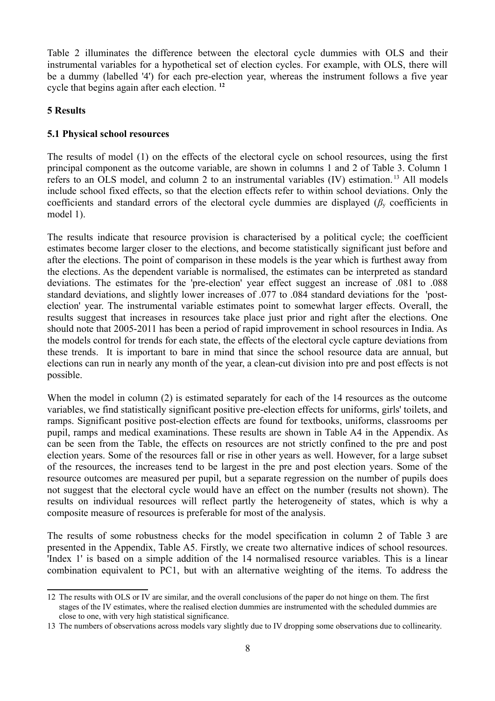Table 2 illuminates the difference between the electoral cycle dummies with OLS and their instrumental variables for a hypothetical set of election cycles. For example, with OLS, there will be a dummy (labelled '4') for each pre-election year, whereas the instrument follows a five year cycle that begins again after each election. **[12](#page-9-0)**

#### **5 Results**

# **5.1 Physical school resources**

The results of model (1) on the effects of the electoral cycle on school resources, using the first principal component as the outcome variable, are shown in columns 1 and 2 of Table 3. Column 1 refers to an OLS model, and column 2 to an instrumental variables (IV) estimation. [13](#page-9-1) All models include school fixed effects, so that the election effects refer to within school deviations. Only the coefficients and standard errors of the electoral cycle dummies are displayed (*β*y coefficients in model 1).

The results indicate that resource provision is characterised by a political cycle; the coefficient estimates become larger closer to the elections, and become statistically significant just before and after the elections. The point of comparison in these models is the year which is furthest away from the elections. As the dependent variable is normalised, the estimates can be interpreted as standard deviations. The estimates for the 'pre-election' year effect suggest an increase of .081 to .088 standard deviations, and slightly lower increases of .077 to .084 standard deviations for the 'postelection' year. The instrumental variable estimates point to somewhat larger effects. Overall, the results suggest that increases in resources take place just prior and right after the elections. One should note that 2005-2011 has been a period of rapid improvement in school resources in India. As the models control for trends for each state, the effects of the electoral cycle capture deviations from these trends. It is important to bare in mind that since the school resource data are annual, but elections can run in nearly any month of the year, a clean-cut division into pre and post effects is not possible.

When the model in column (2) is estimated separately for each of the 14 resources as the outcome variables, we find statistically significant positive pre-election effects for uniforms, girls' toilets, and ramps. Significant positive post-election effects are found for textbooks, uniforms, classrooms per pupil, ramps and medical examinations. These results are shown in Table A4 in the Appendix. As can be seen from the Table, the effects on resources are not strictly confined to the pre and post election years. Some of the resources fall or rise in other years as well. However, for a large subset of the resources, the increases tend to be largest in the pre and post election years. Some of the resource outcomes are measured per pupil, but a separate regression on the number of pupils does not suggest that the electoral cycle would have an effect on the number (results not shown). The results on individual resources will reflect partly the heterogeneity of states, which is why a composite measure of resources is preferable for most of the analysis.

The results of some robustness checks for the model specification in column 2 of Table 3 are presented in the Appendix, Table A5. Firstly, we create two alternative indices of school resources. 'Index 1' is based on a simple addition of the 14 normalised resource variables. This is a linear combination equivalent to PC1, but with an alternative weighting of the items. To address the

<span id="page-9-0"></span><sup>12</sup> The results with OLS or IV are similar, and the overall conclusions of the paper do not hinge on them. The first stages of the IV estimates, where the realised election dummies are instrumented with the scheduled dummies are close to one, with very high statistical significance.

<span id="page-9-1"></span><sup>13</sup> The numbers of observations across models vary slightly due to IV dropping some observations due to collinearity.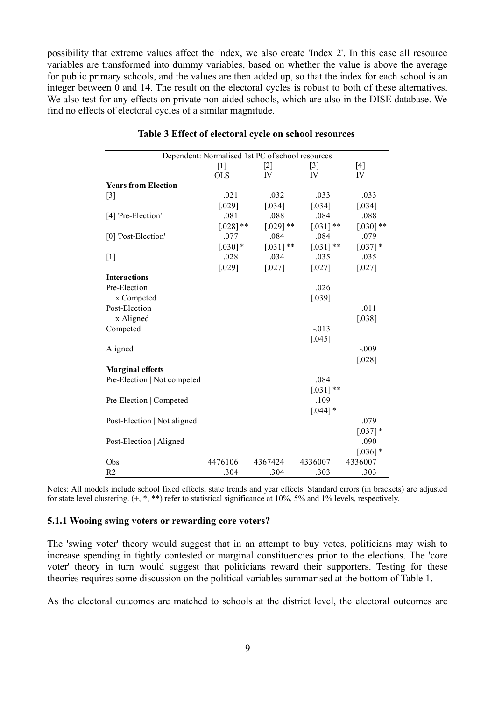possibility that extreme values affect the index, we also create 'Index 2'. In this case all resource variables are transformed into dummy variables, based on whether the value is above the average for public primary schools, and the values are then added up, so that the index for each school is an integer between 0 and 14. The result on the electoral cycles is robust to both of these alternatives. We also test for any effects on private non-aided schools, which are also in the DISE database. We find no effects of electoral cycles of a similar magnitude.

|                             | Dependent: Normalised 1st PC of school resources |             |             |             |  |  |
|-----------------------------|--------------------------------------------------|-------------|-------------|-------------|--|--|
|                             | $[1]$                                            | $[2]$       | $[3]$       | $[4]$       |  |  |
|                             | <b>OLS</b>                                       | IV          | IV          | IV          |  |  |
| <b>Years from Election</b>  |                                                  |             |             |             |  |  |
| $[3]$                       | .021                                             | .032        | .033        | .033        |  |  |
|                             | [.029]                                           | [.034]      | [.034]      | [.034]      |  |  |
| [4] 'Pre-Election'          | .081                                             | .088        | .084        | .088        |  |  |
|                             | $[.028]$ **                                      | $[.029]$ ** | $[.031]$ ** | $[.030]$ ** |  |  |
| [0] 'Post-Election'         | .077                                             | .084        | .084        | .079        |  |  |
|                             | $[.030]$ *                                       | $[.031]$ ** | $[.031]$ ** | $[.037]$ *  |  |  |
| $[1]$                       | .028                                             | .034        | .035        | .035        |  |  |
|                             | $[.029]$                                         | $[.027]$    | [.027]      | $[.027]$    |  |  |
| <b>Interactions</b>         |                                                  |             |             |             |  |  |
| Pre-Election                |                                                  |             | .026        |             |  |  |
| x Competed                  |                                                  |             | [.039]      |             |  |  |
| Post-Election               |                                                  |             |             | .011        |  |  |
| x Aligned                   |                                                  |             |             | [.038]      |  |  |
| Competed                    |                                                  |             | $-013$      |             |  |  |
|                             |                                                  |             | [.045]      |             |  |  |
| Aligned                     |                                                  |             |             | $-0.09$     |  |  |
|                             |                                                  |             |             | [.028]      |  |  |
| <b>Marginal effects</b>     |                                                  |             |             |             |  |  |
| Pre-Election   Not competed |                                                  |             | .084        |             |  |  |
|                             |                                                  |             | $[.031]$ ** |             |  |  |
| Pre-Election   Competed     |                                                  |             | .109        |             |  |  |
|                             |                                                  |             | $[.044]$ *  |             |  |  |
| Post-Election   Not aligned |                                                  |             |             | .079        |  |  |
|                             |                                                  |             |             | $[.037]$ *  |  |  |
| Post-Election   Aligned     |                                                  |             |             | .090        |  |  |
|                             |                                                  |             |             | $[.036]$ *  |  |  |
| Obs                         | 4476106                                          | 4367424     | 4336007     | 4336007     |  |  |
| R <sub>2</sub>              | .304                                             | .304        | .303        | .303        |  |  |

#### **Table 3 Effect of electoral cycle on school resources**

Notes: All models include school fixed effects, state trends and year effects. Standard errors (in brackets) are adjusted for state level clustering. (+, \*, \*\*) refer to statistical significance at 10%, 5% and 1% levels, respectively.

#### **5.1.1 Wooing swing voters or rewarding core voters?**

The 'swing voter' theory would suggest that in an attempt to buy votes, politicians may wish to increase spending in tightly contested or marginal constituencies prior to the elections. The 'core voter' theory in turn would suggest that politicians reward their supporters. Testing for these theories requires some discussion on the political variables summarised at the bottom of Table 1.

As the electoral outcomes are matched to schools at the district level, the electoral outcomes are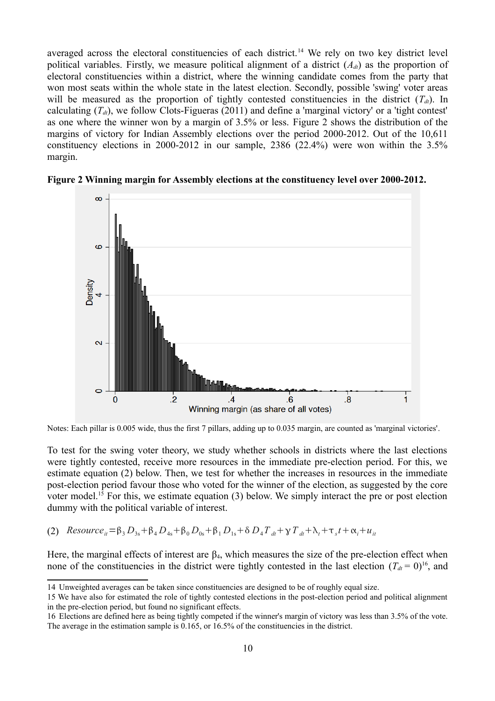averaged across the electoral constituencies of each district.<sup>[14](#page-11-0)</sup> We rely on two key district level political variables. Firstly, we measure political alignment of a district  $(A_d)$  as the proportion of electoral constituencies within a district, where the winning candidate comes from the party that won most seats within the whole state in the latest election. Secondly, possible 'swing' voter areas will be measured as the proportion of tightly contested constituencies in the district  $(T_d)$ . In calculating  $(T_d)$ , we follow Clots-Figueras (2011) and define a 'marginal victory' or a 'tight contest' as one where the winner won by a margin of 3.5% or less. Figure 2 shows the distribution of the margins of victory for Indian Assembly elections over the period 2000-2012. Out of the 10,611 constituency elections in 2000-2012 in our sample, 2386 (22.4%) were won within the 3.5% margin.



**Figure 2 Winning margin for Assembly elections at the constituency level over 2000-2012.**

Notes: Each pillar is 0.005 wide, thus the first 7 pillars, adding up to 0.035 margin, are counted as 'marginal victories'.

To test for the swing voter theory, we study whether schools in districts where the last elections were tightly contested, receive more resources in the immediate pre-election period. For this, we estimate equation (2) below. Then, we test for whether the increases in resources in the immediate post-election period favour those who voted for the winner of the election, as suggested by the core voter model.<sup>[15](#page-11-1)</sup> For this, we estimate equation (3) below. We simply interact the pre or post election dummy with the political variable of interest.

 $P(2)$  *Resource*<sub>it</sub> =  $\beta_3 D_{3s} + \beta_4 D_{4s} + \beta_0 D_{0s} + \beta_1 D_{1s} + \delta D_4 T_{dt} + \gamma T_{dt} + \lambda_t + \tau_s t + \alpha_t + u_{tt}$ 

Here, the marginal effects of interest are  $\beta_4$ , which measures the size of the pre-election effect when none of the constituencies in the district were tightly contested in the last election  $(T_{dt} = 0)^{16}$  $(T_{dt} = 0)^{16}$  $(T_{dt} = 0)^{16}$ , and

<span id="page-11-0"></span><sup>14</sup> Unweighted averages can be taken since constituencies are designed to be of roughly equal size.

<span id="page-11-1"></span><sup>15</sup> We have also for estimated the role of tightly contested elections in the post-election period and political alignment in the pre-election period, but found no significant effects.

<span id="page-11-2"></span><sup>16</sup> Elections are defined here as being tightly competed if the winner's margin of victory was less than 3.5% of the vote. The average in the estimation sample is 0.165, or 16.5% of the constituencies in the district.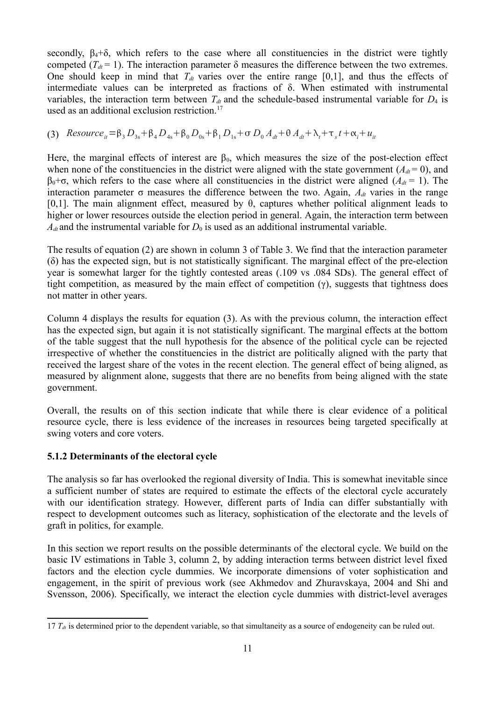secondly,  $\beta_4 + \delta$ , which refers to the case where all constituencies in the district were tightly competed ( $T_d = 1$ ). The interaction parameter  $\delta$  measures the difference between the two extremes. One should keep in mind that  $T_{dt}$  varies over the entire range [0,1], and thus the effects of intermediate values can be interpreted as fractions of δ. When estimated with instrumental variables, the interaction term between  $T_{dt}$  and the schedule-based instrumental variable for  $D_4$  is used as an additional exclusion restriction.<sup>[17](#page-12-0)</sup>

(3) 
$$
Resource_{it} = \beta_3 D_{3s} + \beta_4 D_{4s} + \beta_0 D_{0s} + \beta_1 D_{1s} + \sigma D_0 A_{dt} + \theta A_{dt} + \lambda_t + \tau_s t + \alpha_t + u_{it}
$$

Here, the marginal effects of interest are  $\beta_0$ , which measures the size of the post-election effect when none of the constituencies in the district were aligned with the state government  $(A_{dt} = 0)$ , and  $β<sub>0</sub>+σ$ , which refers to the case where all constituencies in the district were aligned (*A*<sub>*dt*</sub> = 1). The interaction parameter  $\sigma$  measures the difference between the two. Again,  $A_{dt}$  varies in the range [0,1]. The main alignment effect, measured by  $\theta$ , captures whether political alignment leads to higher or lower resources outside the election period in general. Again, the interaction term between  $A_{dt}$  and the instrumental variable for  $D_0$  is used as an additional instrumental variable.

The results of equation (2) are shown in column 3 of Table 3. We find that the interaction parameter (δ) has the expected sign, but is not statistically significant. The marginal effect of the pre-election year is somewhat larger for the tightly contested areas (.109 vs .084 SDs). The general effect of tight competition, as measured by the main effect of competition  $(\gamma)$ , suggests that tightness does not matter in other years.

Column 4 displays the results for equation (3). As with the previous column, the interaction effect has the expected sign, but again it is not statistically significant. The marginal effects at the bottom of the table suggest that the null hypothesis for the absence of the political cycle can be rejected irrespective of whether the constituencies in the district are politically aligned with the party that received the largest share of the votes in the recent election. The general effect of being aligned, as measured by alignment alone, suggests that there are no benefits from being aligned with the state government.

Overall, the results on of this section indicate that while there is clear evidence of a political resource cycle, there is less evidence of the increases in resources being targeted specifically at swing voters and core voters.

# **5.1.2 Determinants of the electoral cycle**

The analysis so far has overlooked the regional diversity of India. This is somewhat inevitable since a sufficient number of states are required to estimate the effects of the electoral cycle accurately with our identification strategy. However, different parts of India can differ substantially with respect to development outcomes such as literacy, sophistication of the electorate and the levels of graft in politics, for example.

In this section we report results on the possible determinants of the electoral cycle. We build on the basic IV estimations in Table 3, column 2, by adding interaction terms between district level fixed factors and the election cycle dummies. We incorporate dimensions of voter sophistication and engagement, in the spirit of previous work (see Akhmedov and Zhuravskaya, 2004 and Shi and Svensson, 2006). Specifically, we interact the election cycle dummies with district-level averages

<span id="page-12-0"></span><sup>17</sup>  $T_{dt}$  is determined prior to the dependent variable, so that simultaneity as a source of endogeneity can be ruled out.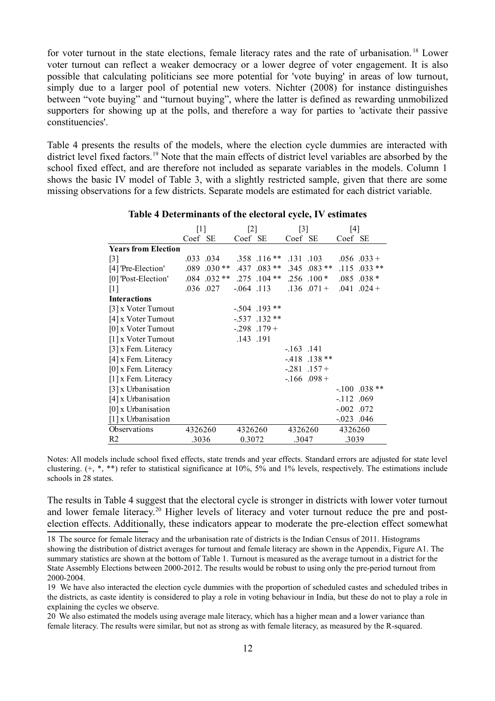for voter turnout in the state elections, female literacy rates and the rate of urbanisation. [18](#page-13-0) Lower voter turnout can reflect a weaker democracy or a lower degree of voter engagement. It is also possible that calculating politicians see more potential for 'vote buying' in areas of low turnout, simply due to a larger pool of potential new voters. Nichter (2008) for instance distinguishes between "vote buying" and "turnout buying", where the latter is defined as rewarding unmobilized supporters for showing up at the polls, and therefore a way for parties to 'activate their passive constituencies'.

Table 4 presents the results of the models, where the election cycle dummies are interacted with district level fixed factors.<sup>[19](#page-13-1)</sup> Note that the main effects of district level variables are absorbed by the school fixed effect, and are therefore not included as separate variables in the models. Column 1 shows the basic IV model of Table 3, with a slightly restricted sample, given that there are some missing observations for a few districts. Separate models are estimated for each district variable.

|                            | $[1]$   |                 | $[2]$    |                   | $[3]$       |                   | [4]             |                 |
|----------------------------|---------|-----------------|----------|-------------------|-------------|-------------------|-----------------|-----------------|
|                            | Coef SE |                 | Coef SE  |                   | Coef SE     |                   | Coef SE         |                 |
| <b>Years from Election</b> |         |                 |          |                   |             |                   |                 |                 |
| $\lceil 3 \rceil$          |         | .033 .034       |          | .358 .116**       | .131 .103   |                   |                 | $.056$ $.033 +$ |
| [4] 'Pre-Election'         |         | $.089$ $.030**$ |          | .437 .083 **      |             | $.345$ $.083**$   | .115            | $.033**$        |
| [0] 'Post-Election'        |         | $.084$ $.032**$ |          | $.275$ $.104**$   |             | $.256$ $.100*$    |                 | $.085$ $.038*$  |
| $\lceil 1 \rceil$          |         | .036 .027       |          | $-0.64$ .113      |             | $.136$ $.071 +$   | .041            | $.024 +$        |
| <b>Interactions</b>        |         |                 |          |                   |             |                   |                 |                 |
| [3] x Voter Turnout        |         |                 |          | $-.504$ .193 **   |             |                   |                 |                 |
| [4] x Voter Turnout        |         |                 | $-537$   | $.132**$          |             |                   |                 |                 |
| [0] x Voter Turnout        |         |                 |          | $-0.298$ $.179$ + |             |                   |                 |                 |
| [1] x Voter Turnout        |         |                 | .143.191 |                   |             |                   |                 |                 |
| [3] x Fem. Literacy        |         |                 |          |                   | $-163$ .141 |                   |                 |                 |
| [4] x Fem. Literacy        |         |                 |          |                   |             | $-418$ .138 **    |                 |                 |
| [0] x Fem. Literacy        |         |                 |          |                   |             | $-0.281$ $.157 +$ |                 |                 |
| [1] x Fem. Literacy        |         |                 |          |                   |             | $-166$ .098 +     |                 |                 |
| [3] x Urbanisation         |         |                 |          |                   |             |                   |                 | $-.100$ .038 ** |
| [4] x Urbanisation         |         |                 |          |                   |             |                   | $-112$ .069     |                 |
| $[0]$ x Urbanisation       |         |                 |          |                   |             |                   | $-0.02$ $0.072$ |                 |
| [1] x Urbanisation         |         |                 |          |                   |             |                   | $-0.023$ .046   |                 |
| Observations               | 4326260 |                 | 4326260  |                   | 4326260     |                   | 4326260         |                 |
| R <sub>2</sub>             | .3036   |                 | 0.3072   |                   | .3047       |                   | .3039           |                 |

**Table 4 Determinants of the electoral cycle, IV estimates**

Notes: All models include school fixed effects, state trends and year effects. Standard errors are adjusted for state level clustering.  $(+, *, **)$  refer to statistical significance at 10%, 5% and 1% levels, respectively. The estimations include schools in 28 states.

The results in Table 4 suggest that the electoral cycle is stronger in districts with lower voter turnout and lower female literacy.<sup>[20](#page-13-2)</sup> Higher levels of literacy and voter turnout reduce the pre and postelection effects. Additionally, these indicators appear to moderate the pre-election effect somewhat

<span id="page-13-0"></span>18 The source for female literacy and the urbanisation rate of districts is the Indian Census of 2011. Histograms showing the distribution of district averages for turnout and female literacy are shown in the Appendix, Figure A1. The summary statistics are shown at the bottom of Table 1. Turnout is measured as the average turnout in a district for the State Assembly Elections between 2000-2012. The results would be robust to using only the pre-period turnout from 2000-2004.

<span id="page-13-1"></span>19 We have also interacted the election cycle dummies with the proportion of scheduled castes and scheduled tribes in the districts, as caste identity is considered to play a role in voting behaviour in India, but these do not to play a role in explaining the cycles we observe.

<span id="page-13-2"></span>20 We also estimated the models using average male literacy, which has a higher mean and a lower variance than female literacy. The results were similar, but not as strong as with female literacy, as measured by the R-squared.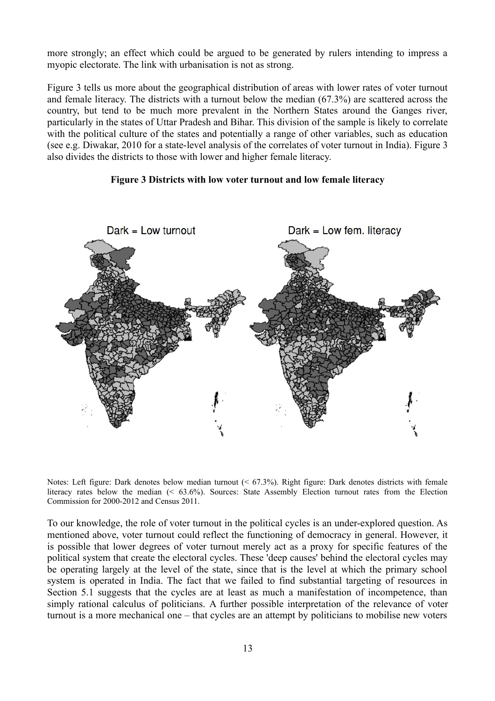more strongly; an effect which could be argued to be generated by rulers intending to impress a myopic electorate. The link with urbanisation is not as strong.

Figure 3 tells us more about the geographical distribution of areas with lower rates of voter turnout and female literacy. The districts with a turnout below the median (67.3%) are scattered across the country, but tend to be much more prevalent in the Northern States around the Ganges river, particularly in the states of Uttar Pradesh and Bihar. This division of the sample is likely to correlate with the political culture of the states and potentially a range of other variables, such as education (see e.g. Diwakar, 2010 for a state-level analysis of the correlates of voter turnout in India). Figure 3 also divides the districts to those with lower and higher female literacy.

#### **Figure 3 Districts with low voter turnout and low female literacy**



Notes: Left figure: Dark denotes below median turnout (< 67.3%). Right figure: Dark denotes districts with female literacy rates below the median (< 63.6%). Sources: State Assembly Election turnout rates from the Election Commission for 2000-2012 and Census 2011.

To our knowledge, the role of voter turnout in the political cycles is an under-explored question. As mentioned above, voter turnout could reflect the functioning of democracy in general. However, it is possible that lower degrees of voter turnout merely act as a proxy for specific features of the political system that create the electoral cycles. These 'deep causes' behind the electoral cycles may be operating largely at the level of the state, since that is the level at which the primary school system is operated in India. The fact that we failed to find substantial targeting of resources in Section 5.1 suggests that the cycles are at least as much a manifestation of incompetence, than simply rational calculus of politicians. A further possible interpretation of the relevance of voter turnout is a more mechanical one – that cycles are an attempt by politicians to mobilise new voters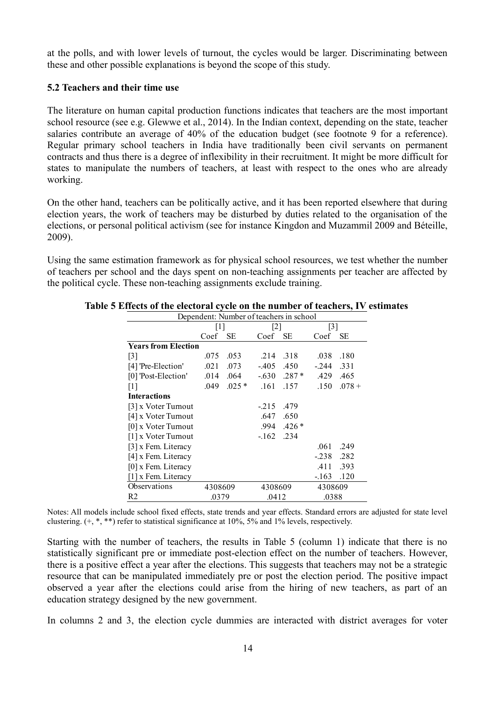at the polls, and with lower levels of turnout, the cycles would be larger. Discriminating between these and other possible explanations is beyond the scope of this study.

#### **5.2 Teachers and their time use**

The literature on human capital production functions indicates that teachers are the most important school resource (see e.g. Glewwe et al., 2014). In the Indian context, depending on the state, teacher salaries contribute an average of 40% of the education budget (see footnote 9 for a reference). Regular primary school teachers in India have traditionally been civil servants on permanent contracts and thus there is a degree of inflexibility in their recruitment. It might be more difficult for states to manipulate the numbers of teachers, at least with respect to the ones who are already working.

On the other hand, teachers can be politically active, and it has been reported elsewhere that during election years, the work of teachers may be disturbed by duties related to the organisation of the elections, or personal political activism (see for instance Kingdon and Muzammil 2009 and Béteille, 2009).

Using the same estimation framework as for physical school resources, we test whether the number of teachers per school and the days spent on non-teaching assignments per teacher are affected by the political cycle. These non-teaching assignments exclude training.

| Dependent: Number of teachers in school |                            |                                   |           |                                                                      |                                               |  |  |
|-----------------------------------------|----------------------------|-----------------------------------|-----------|----------------------------------------------------------------------|-----------------------------------------------|--|--|
|                                         |                            |                                   |           |                                                                      |                                               |  |  |
| Coef                                    | SЕ                         | Coef                              | <b>SE</b> | Coef                                                                 | <b>SE</b>                                     |  |  |
|                                         |                            |                                   |           |                                                                      |                                               |  |  |
| .075                                    | .053                       | .214                              | .318      | .038                                                                 | .180                                          |  |  |
| .021                                    | .073                       |                                   | .450      | $-244$                                                               | .331                                          |  |  |
| .014                                    |                            |                                   |           |                                                                      | .465                                          |  |  |
| .049                                    | $.025*$                    |                                   | .157      | .150                                                                 | $.078 +$                                      |  |  |
|                                         |                            |                                   |           |                                                                      |                                               |  |  |
|                                         |                            | $-215$                            | .479      |                                                                      |                                               |  |  |
|                                         |                            | .647                              | .650      |                                                                      |                                               |  |  |
|                                         |                            |                                   | $.426*$   |                                                                      |                                               |  |  |
|                                         |                            | $-162$                            | .234      |                                                                      |                                               |  |  |
|                                         |                            |                                   |           | .061                                                                 | .249                                          |  |  |
|                                         |                            |                                   |           | $-238$                                                               | .282                                          |  |  |
|                                         |                            |                                   |           | .411                                                                 | .393                                          |  |  |
|                                         |                            |                                   |           | $-163$                                                               | .120                                          |  |  |
|                                         |                            |                                   |           |                                                                      |                                               |  |  |
|                                         |                            |                                   |           |                                                                      |                                               |  |  |
|                                         | <b>Years from Election</b> | $[1]$<br>.064<br>4308609<br>.0379 |           | 2 <br>$-405$<br>$-.630$ .287 $*$<br>.161<br>.994<br>4308609<br>.0412 | $\lceil 3 \rceil$<br>.429<br>4308609<br>.0388 |  |  |

#### **Table 5 Effects of the electoral cycle on the number of teachers, IV estimates**

Notes: All models include school fixed effects, state trends and year effects. Standard errors are adjusted for state level clustering. (+, \*, \*\*) refer to statistical significance at 10%, 5% and 1% levels, respectively.

Starting with the number of teachers, the results in Table 5 (column 1) indicate that there is no statistically significant pre or immediate post-election effect on the number of teachers. However, there is a positive effect a year after the elections. This suggests that teachers may not be a strategic resource that can be manipulated immediately pre or post the election period. The positive impact observed a year after the elections could arise from the hiring of new teachers, as part of an education strategy designed by the new government.

In columns 2 and 3, the election cycle dummies are interacted with district averages for voter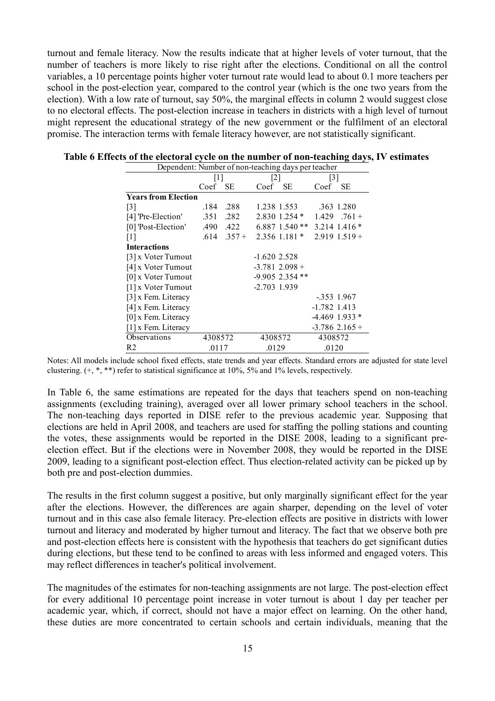turnout and female literacy. Now the results indicate that at higher levels of voter turnout, that the number of teachers is more likely to rise right after the elections. Conditional on all the control variables, a 10 percentage points higher voter turnout rate would lead to about 0.1 more teachers per school in the post-election year, compared to the control year (which is the one two years from the election). With a low rate of turnout, say 50%, the marginal effects in column 2 would suggest close to no electoral effects. The post-election increase in teachers in districts with a high level of turnout might represent the educational strategy of the new government or the fulfilment of an electoral promise. The interaction terms with female literacy however, are not statistically significant.

|                                   | $\lceil 1 \rceil$ |           | $\lceil 2 \rceil$ |                   | [3]            |                    |
|-----------------------------------|-------------------|-----------|-------------------|-------------------|----------------|--------------------|
|                                   | Coef              | SE.       | Coef              | <b>SE</b>         | Coef           | SЕ                 |
| <b>Years from Election</b>        |                   |           |                   |                   |                |                    |
| $\lceil 3 \rceil$                 | .184              | .288      |                   | 1.238 1.553       |                | 363 1.280          |
| [4] 'Pre-Election'                |                   | .351 .282 |                   | $2.830$ 1.254 $*$ |                | $1.429$ .761 +     |
| [0] 'Post-Election'               |                   | .490 .422 |                   | $6.887$ 1.540 **  |                | 3.214 1.416 *      |
| $\lceil 1 \rceil$                 | .614              | $.357 +$  |                   | $2.356$ 1.181 $*$ |                | $2.919$ 1.519 +    |
| <b>Interactions</b>               |                   |           |                   |                   |                |                    |
| $\lceil 3 \rceil$ x Voter Turnout |                   |           | $-1.6202.528$     |                   |                |                    |
| [4] x Voter Turnout               |                   |           |                   | $-3.781$ 2.098 +  |                |                    |
| [0] x Voter Turnout               |                   |           |                   | $-9.905$ 2.354 ** |                |                    |
| [1] x Voter Turnout               |                   |           | $-2.703$ 1.939    |                   |                |                    |
| $[3]$ x Fem. Literacy             |                   |           |                   |                   |                | $-353$ 1.967       |
| [4] x Fem. Literacy               |                   |           |                   |                   | $-1.782$ 1.413 |                    |
| [0] x Fem. Literacy               |                   |           |                   |                   |                | $-4.469$ 1.933 $*$ |
| [1] x Fem. Literacy               |                   |           |                   |                   |                | $-3.786$ 2.165 +   |
| Observations                      | 4308572           |           | 4308572           |                   | 4308572        |                    |
| R2                                | .0117             |           | .0129             |                   | .0120          |                    |

**Table 6 Effects of the electoral cycle on the number of non-teaching days, IV estimates**  Dependent: Number of non-teaching days per teacher

Notes: All models include school fixed effects, state trends and year effects. Standard errors are adjusted for state level clustering. (+, \*, \*\*) refer to statistical significance at 10%, 5% and 1% levels, respectively.

In Table 6, the same estimations are repeated for the days that teachers spend on non-teaching assignments (excluding training), averaged over all lower primary school teachers in the school. The non-teaching days reported in DISE refer to the previous academic year. Supposing that elections are held in April 2008, and teachers are used for staffing the polling stations and counting the votes, these assignments would be reported in the DISE 2008, leading to a significant preelection effect. But if the elections were in November 2008, they would be reported in the DISE 2009, leading to a significant post-election effect. Thus election-related activity can be picked up by both pre and post-election dummies.

The results in the first column suggest a positive, but only marginally significant effect for the year after the elections. However, the differences are again sharper, depending on the level of voter turnout and in this case also female literacy. Pre-election effects are positive in districts with lower turnout and literacy and moderated by higher turnout and literacy. The fact that we observe both pre and post-election effects here is consistent with the hypothesis that teachers do get significant duties during elections, but these tend to be confined to areas with less informed and engaged voters. This may reflect differences in teacher's political involvement.

The magnitudes of the estimates for non-teaching assignments are not large. The post-election effect for every additional 10 percentage point increase in voter turnout is about 1 day per teacher per academic year, which, if correct, should not have a major effect on learning. On the other hand, these duties are more concentrated to certain schools and certain individuals, meaning that the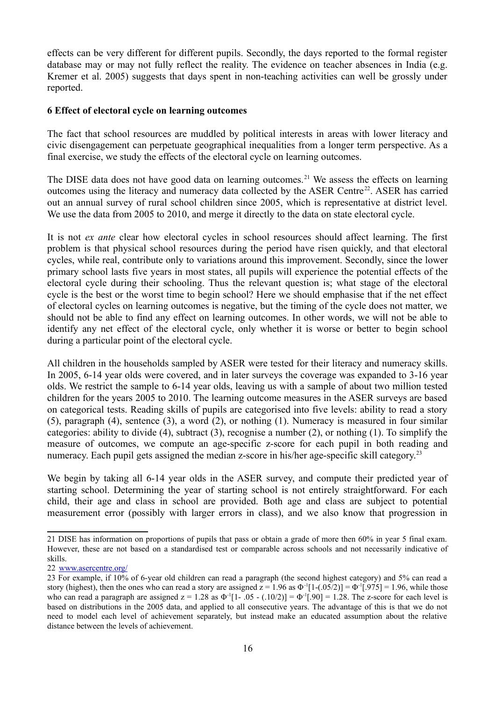effects can be very different for different pupils. Secondly, the days reported to the formal register database may or may not fully reflect the reality. The evidence on teacher absences in India (e.g. Kremer et al. 2005) suggests that days spent in non-teaching activities can well be grossly under reported.

#### **6 Effect of electoral cycle on learning outcomes**

The fact that school resources are muddled by political interests in areas with lower literacy and civic disengagement can perpetuate geographical inequalities from a longer term perspective. As a final exercise, we study the effects of the electoral cycle on learning outcomes.

The DISE data does not have good data on learning outcomes.<sup>[21](#page-17-0)</sup> We assess the effects on learning outcomes using the literacy and numeracy data collected by the ASER Centre<sup>[22](#page-17-1)</sup>. ASER has carried out an annual survey of rural school children since 2005, which is representative at district level. We use the data from 2005 to 2010, and merge it directly to the data on state electoral cycle.

It is not *ex ante* clear how electoral cycles in school resources should affect learning. The first problem is that physical school resources during the period have risen quickly, and that electoral cycles, while real, contribute only to variations around this improvement. Secondly, since the lower primary school lasts five years in most states, all pupils will experience the potential effects of the electoral cycle during their schooling. Thus the relevant question is; what stage of the electoral cycle is the best or the worst time to begin school? Here we should emphasise that if the net effect of electoral cycles on learning outcomes is negative, but the timing of the cycle does not matter, we should not be able to find any effect on learning outcomes. In other words, we will not be able to identify any net effect of the electoral cycle, only whether it is worse or better to begin school during a particular point of the electoral cycle.

All children in the households sampled by ASER were tested for their literacy and numeracy skills. In 2005, 6-14 year olds were covered, and in later surveys the coverage was expanded to 3-16 year olds. We restrict the sample to 6-14 year olds, leaving us with a sample of about two million tested children for the years 2005 to 2010. The learning outcome measures in the ASER surveys are based on categorical tests. Reading skills of pupils are categorised into five levels: ability to read a story (5), paragraph (4), sentence (3), a word (2), or nothing (1). Numeracy is measured in four similar categories: ability to divide (4), subtract (3), recognise a number (2), or nothing (1). To simplify the measure of outcomes, we compute an age-specific z-score for each pupil in both reading and numeracy. Each pupil gets assigned the median z-score in his/her age-specific skill category.<sup>[23](#page-17-2)</sup>

We begin by taking all 6-14 year olds in the ASER survey, and compute their predicted year of starting school. Determining the year of starting school is not entirely straightforward. For each child, their age and class in school are provided. Both age and class are subject to potential measurement error (possibly with larger errors in class), and we also know that progression in

<span id="page-17-0"></span><sup>21</sup> DISE has information on proportions of pupils that pass or obtain a grade of more then 60% in year 5 final exam. However, these are not based on a standardised test or comparable across schools and not necessarily indicative of skills.

<span id="page-17-1"></span><sup>22</sup> [www.asercentre.org/](http://www.asercentre.org/)

<span id="page-17-2"></span><sup>23</sup> For example, if 10% of 6-year old children can read a paragraph (the second highest category) and 5% can read a story (highest), then the ones who can read a story are assigned  $z = 1.96$  as  $\Phi^{-1}[1-(.05/2)] = \Phi^{-1}[.975] = 1.96$ , while those who can read a paragraph are assigned  $z = 1.28$  as  $\Phi^{-1}[1 - 0.05 - (0.10/2)] = \Phi^{-1}[0.90] = 1.28$ . The z-score for each level is based on distributions in the 2005 data, and applied to all consecutive years. The advantage of this is that we do not need to model each level of achievement separately, but instead make an educated assumption about the relative distance between the levels of achievement.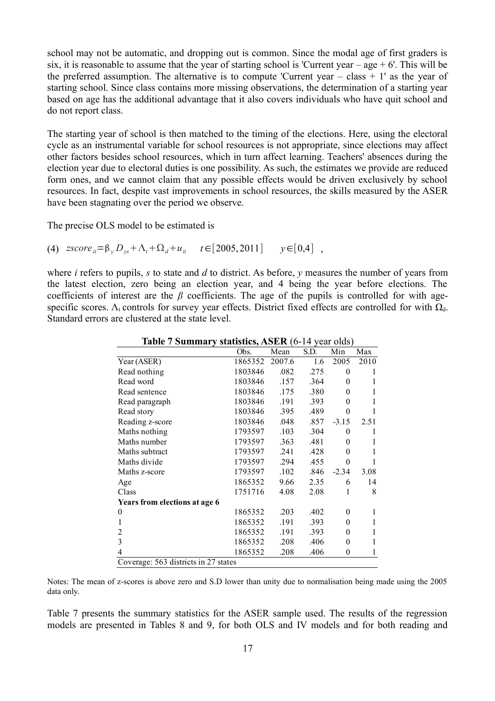school may not be automatic, and dropping out is common. Since the modal age of first graders is six, it is reasonable to assume that the year of starting school is 'Current year – age  $+ 6'$ . This will be the preferred assumption. The alternative is to compute 'Current year – class  $+1'$  as the year of starting school. Since class contains more missing observations, the determination of a starting year based on age has the additional advantage that it also covers individuals who have quit school and do not report class.

The starting year of school is then matched to the timing of the elections. Here, using the electoral cycle as an instrumental variable for school resources is not appropriate, since elections may affect other factors besides school resources, which in turn affect learning. Teachers' absences during the election year due to electoral duties is one possibility. As such, the estimates we provide are reduced form ones, and we cannot claim that any possible effects would be driven exclusively by school resources. In fact, despite vast improvements in school resources, the skills measured by the ASER have been stagnating over the period we observe.

The precise OLS model to be estimated is

(4)  $\text{zscore}_{it} = \beta_y D_{ys} + \Lambda_t + \Omega_d + u_{it}$   $t \in [2005, 2011]$   $y \in [0, 4]$ ,

where *i* refers to pupils, *s* to state and *d* to district. As before, *y* measures the number of years from the latest election, zero being an election year, and 4 being the year before elections. The coefficients of interest are the *β* coefficients. The age of the pupils is controlled for with agespecific scores.  $\Lambda_t$  controls for survey year effects. District fixed effects are controlled for with  $\Omega_d$ . Standard errors are clustered at the state level.

| $\mathbf{v}$ . $\mathbf{v}$ announce $\mathbf{v}$ | Obs.    | Mean   | S.D. | Min      | Max  |
|---------------------------------------------------|---------|--------|------|----------|------|
| Year (ASER)                                       | 1865352 | 2007.6 | 1.6  | 2005     | 2010 |
| Read nothing                                      | 1803846 | .082   | .275 | $\theta$ | 1    |
| Read word                                         | 1803846 | .157   | .364 | $\theta$ | 1    |
| Read sentence                                     | 1803846 | .175   | .380 | 0        | 1    |
| Read paragraph                                    | 1803846 | .191   | .393 | $\theta$ | 1    |
| Read story                                        | 1803846 | .395   | .489 | $\theta$ |      |
| Reading z-score                                   | 1803846 | .048   | .857 | $-3.15$  | 2.51 |
| Maths nothing                                     | 1793597 | .103   | .304 | $\theta$ | 1    |
| Maths number                                      | 1793597 | .363   | .481 | $\theta$ | 1    |
| Maths subtract                                    | 1793597 | .241   | .428 | $\theta$ | 1    |
| Maths divide                                      | 1793597 | .294   | .455 | $\theta$ | 1    |
| Maths z-score                                     | 1793597 | .102   | .846 | $-2.34$  | 3.08 |
| Age                                               | 1865352 | 9.66   | 2.35 | 6        | 14   |
| Class                                             | 1751716 | 4.08   | 2.08 | 1        | 8    |
| Years from elections at age 6                     |         |        |      |          |      |
| $\theta$                                          | 1865352 | .203   | .402 | $\theta$ | 1    |
| 1                                                 | 1865352 | .191   | .393 | $\theta$ | 1    |
| 2                                                 | 1865352 | .191   | .393 | $\theta$ | 1    |
| 3                                                 | 1865352 | .208   | .406 | $\theta$ | 1    |
| 4                                                 | 1865352 | .208   | .406 | 0        | 1    |
| Coverage: 563 districts in 27 states              |         |        |      |          |      |

**Table 7 Summary statistics, ASER** (6-14 year olds)

Notes: The mean of z-scores is above zero and S.D lower than unity due to normalisation being made using the 2005 data only.

Table 7 presents the summary statistics for the ASER sample used. The results of the regression models are presented in Tables 8 and 9, for both OLS and IV models and for both reading and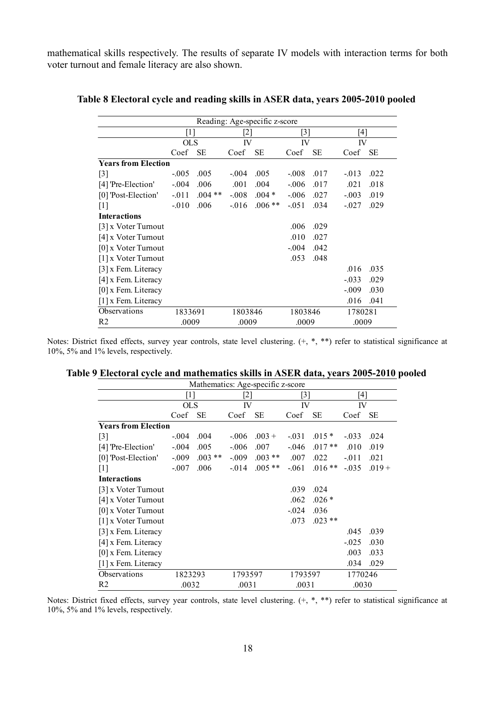mathematical skills respectively. The results of separate IV models with interaction terms for both voter turnout and female literacy are also shown.

|                            |            |          |          | Reading: Age-specific z-score |          |           |          |      |
|----------------------------|------------|----------|----------|-------------------------------|----------|-----------|----------|------|
|                            | [1]        |          | [2]      |                               | [3]      |           | [4]      |      |
|                            | <b>OLS</b> |          | IV       |                               | IV       |           | IV       |      |
|                            | Coef       | SE       | Coef     | <b>SE</b>                     | Coef     | <b>SE</b> | Coef     | SЕ   |
| <b>Years from Election</b> |            |          |          |                               |          |           |          |      |
| $[3]$                      | $-.005$    | .005     | $-.004$  | .005                          | $-.008$  | .017      | $-0.013$ | .022 |
| [4] 'Pre-Election'         | $-.004$    | .006     | .001     | .004                          | $-0.06$  | .017      | .021     | .018 |
| [0] 'Post-Election'        | $-011$     | $.004**$ | $-.008$  | $.004*$                       | $-0.06$  | .027      | $-.003$  | .019 |
| $[1]$                      | $-010$     | .006     | $-0.016$ | $.006**$                      | $-0.051$ | .034      | $-0.027$ | .029 |
| <b>Interactions</b>        |            |          |          |                               |          |           |          |      |
| [3] x Voter Turnout        |            |          |          |                               | .006     | .029      |          |      |
| [4] x Voter Turnout        |            |          |          |                               | .010     | .027      |          |      |
| $[0]$ x Voter Turnout      |            |          |          |                               | $-.004$  | .042      |          |      |
| [1] x Voter Turnout        |            |          |          |                               | .053     | .048      |          |      |
| $[3]$ x Fem. Literacy      |            |          |          |                               |          |           | .016     | .035 |
| [4] x Fem. Literacy        |            |          |          |                               |          |           | $-0.033$ | .029 |
| $[0]$ x Fem. Literacy      |            |          |          |                               |          |           | $-0.09$  | .030 |
| [1] x Fem. Literacy        |            |          |          |                               |          |           | .016     | .041 |
| Observations               | 1833691    |          | 1803846  |                               | 1803846  |           | 1780281  |      |
| R2                         | .0009      |          | .0009    |                               | .0009    |           | .0009    |      |

#### **Table 8 Electoral cycle and reading skills in ASER data, years 2005-2010 pooled**

Notes: District fixed effects, survey year controls, state level clustering. (+, \*, \*\*) refer to statistical significance at 10%, 5% and 1% levels, respectively.

|                                   |            | Mathematics: Age-specific z-score |          |           |                   |           |          |           |
|-----------------------------------|------------|-----------------------------------|----------|-----------|-------------------|-----------|----------|-----------|
|                                   | [1]        |                                   | [2]      |           | $\lceil 3 \rceil$ |           | [4]      |           |
|                                   | <b>OLS</b> |                                   | IV       |           | IV                |           | IV       |           |
|                                   | Coef       | <b>SE</b>                         | Coef     | <b>SE</b> | Coef              | <b>SE</b> | Coef     | <b>SE</b> |
| <b>Years from Election</b>        |            |                                   |          |           |                   |           |          |           |
| $[3]$                             | $-0.04$    | .004                              | $-0.06$  | $.003 +$  | $-.031$           | $.015*$   | $-0.033$ | .024      |
| [4] 'Pre-Election'                | $-.004$    | .005                              | $-0.06$  | .007      | $-0.046$          | $.017**$  | .010     | .019      |
| [0] 'Post-Election'               | $-.009$    | $.003**$                          | $-0.09$  | $.003**$  | .007              | .022      | $-0.011$ | .021      |
| $[1]$                             | $-0.07$    | .006                              | $-0.014$ | $.005**$  | $-061$            | $.016**$  | $-0.035$ | $.019 +$  |
| <b>Interactions</b>               |            |                                   |          |           |                   |           |          |           |
| $\lceil 3 \rceil$ x Voter Turnout |            |                                   |          |           | .039              | .024      |          |           |
| [4] x Voter Turnout               |            |                                   |          |           | .062              | $.026*$   |          |           |
| $[0]$ x Voter Turnout             |            |                                   |          |           | $-0.024$          | .036      |          |           |
| $[1]$ x Voter Turnout             |            |                                   |          |           | .073              | $.023**$  |          |           |
| $[3]$ x Fem. Literacy             |            |                                   |          |           |                   |           | .045     | .039      |
| $[4]$ x Fem. Literacy             |            |                                   |          |           |                   |           | $-0.025$ | .030      |
| $[0]$ x Fem. Literacy             |            |                                   |          |           |                   |           | .003     | .033      |
| [1] x Fem. Literacy               |            |                                   |          |           |                   |           | .034     | .029      |
| Observations                      | 1823293    |                                   | 1793597  |           | 1793597           |           | 1770246  |           |
| R <sub>2</sub>                    | .0032      |                                   | .0031    |           | .0031             |           | .0030    |           |

|  | Table 9 Electoral cycle and mathematics skills in ASER data, years 2005-2010 pooled |  |
|--|-------------------------------------------------------------------------------------|--|
|  |                                                                                     |  |

Notes: District fixed effects, survey year controls, state level clustering.  $(+, *, **)$  refer to statistical significance at 10%, 5% and 1% levels, respectively.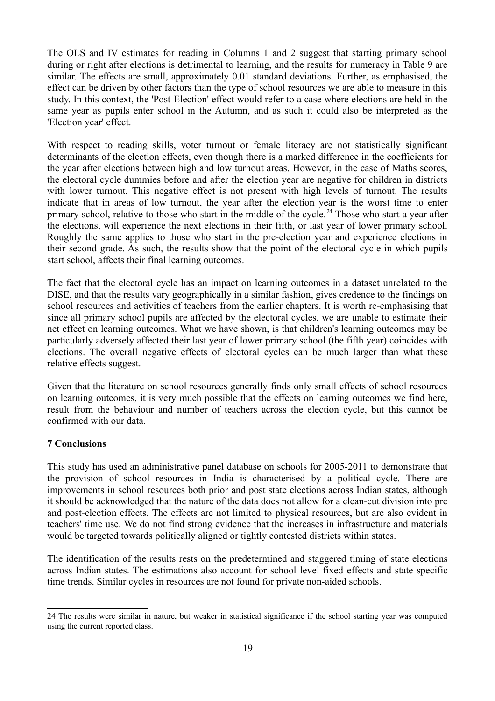The OLS and IV estimates for reading in Columns 1 and 2 suggest that starting primary school during or right after elections is detrimental to learning, and the results for numeracy in Table 9 are similar. The effects are small, approximately 0.01 standard deviations. Further, as emphasised, the effect can be driven by other factors than the type of school resources we are able to measure in this study. In this context, the 'Post-Election' effect would refer to a case where elections are held in the same year as pupils enter school in the Autumn, and as such it could also be interpreted as the 'Election year' effect.

With respect to reading skills, voter turnout or female literacy are not statistically significant determinants of the election effects, even though there is a marked difference in the coefficients for the year after elections between high and low turnout areas. However, in the case of Maths scores, the electoral cycle dummies before and after the election year are negative for children in districts with lower turnout. This negative effect is not present with high levels of turnout. The results indicate that in areas of low turnout, the year after the election year is the worst time to enter primary school, relative to those who start in the middle of the cycle. [24](#page-20-0) Those who start a year after the elections, will experience the next elections in their fifth, or last year of lower primary school. Roughly the same applies to those who start in the pre-election year and experience elections in their second grade. As such, the results show that the point of the electoral cycle in which pupils start school, affects their final learning outcomes.

The fact that the electoral cycle has an impact on learning outcomes in a dataset unrelated to the DISE, and that the results vary geographically in a similar fashion, gives credence to the findings on school resources and activities of teachers from the earlier chapters. It is worth re-emphasising that since all primary school pupils are affected by the electoral cycles, we are unable to estimate their net effect on learning outcomes. What we have shown, is that children's learning outcomes may be particularly adversely affected their last year of lower primary school (the fifth year) coincides with elections. The overall negative effects of electoral cycles can be much larger than what these relative effects suggest.

Given that the literature on school resources generally finds only small effects of school resources on learning outcomes, it is very much possible that the effects on learning outcomes we find here, result from the behaviour and number of teachers across the election cycle, but this cannot be confirmed with our data.

# **7 Conclusions**

This study has used an administrative panel database on schools for 2005-2011 to demonstrate that the provision of school resources in India is characterised by a political cycle. There are improvements in school resources both prior and post state elections across Indian states, although it should be acknowledged that the nature of the data does not allow for a clean-cut division into pre and post-election effects. The effects are not limited to physical resources, but are also evident in teachers' time use. We do not find strong evidence that the increases in infrastructure and materials would be targeted towards politically aligned or tightly contested districts within states.

The identification of the results rests on the predetermined and staggered timing of state elections across Indian states. The estimations also account for school level fixed effects and state specific time trends. Similar cycles in resources are not found for private non-aided schools.

<span id="page-20-0"></span><sup>24</sup> The results were similar in nature, but weaker in statistical significance if the school starting year was computed using the current reported class.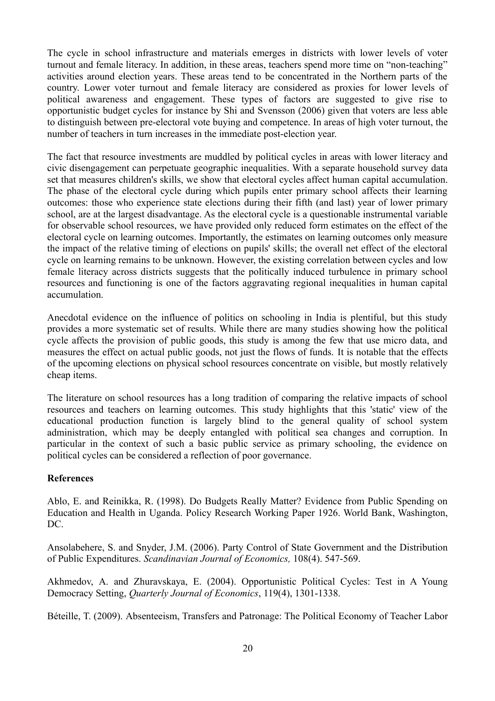The cycle in school infrastructure and materials emerges in districts with lower levels of voter turnout and female literacy. In addition, in these areas, teachers spend more time on "non-teaching" activities around election years. These areas tend to be concentrated in the Northern parts of the country. Lower voter turnout and female literacy are considered as proxies for lower levels of political awareness and engagement. These types of factors are suggested to give rise to opportunistic budget cycles for instance by Shi and Svensson (2006) given that voters are less able to distinguish between pre-electoral vote buying and competence. In areas of high voter turnout, the number of teachers in turn increases in the immediate post-election year.

The fact that resource investments are muddled by political cycles in areas with lower literacy and civic disengagement can perpetuate geographic inequalities. With a separate household survey data set that measures children's skills, we show that electoral cycles affect human capital accumulation. The phase of the electoral cycle during which pupils enter primary school affects their learning outcomes: those who experience state elections during their fifth (and last) year of lower primary school, are at the largest disadvantage. As the electoral cycle is a questionable instrumental variable for observable school resources, we have provided only reduced form estimates on the effect of the electoral cycle on learning outcomes. Importantly, the estimates on learning outcomes only measure the impact of the relative timing of elections on pupils' skills; the overall net effect of the electoral cycle on learning remains to be unknown. However, the existing correlation between cycles and low female literacy across districts suggests that the politically induced turbulence in primary school resources and functioning is one of the factors aggravating regional inequalities in human capital accumulation.

Anecdotal evidence on the influence of politics on schooling in India is plentiful, but this study provides a more systematic set of results. While there are many studies showing how the political cycle affects the provision of public goods, this study is among the few that use micro data, and measures the effect on actual public goods, not just the flows of funds. It is notable that the effects of the upcoming elections on physical school resources concentrate on visible, but mostly relatively cheap items.

The literature on school resources has a long tradition of comparing the relative impacts of school resources and teachers on learning outcomes. This study highlights that this 'static' view of the educational production function is largely blind to the general quality of school system administration, which may be deeply entangled with political sea changes and corruption. In particular in the context of such a basic public service as primary schooling, the evidence on political cycles can be considered a reflection of poor governance.

# **References**

Ablo, E. and Reinikka, R. (1998). Do Budgets Really Matter? Evidence from Public Spending on Education and Health in Uganda. Policy Research Working Paper 1926. World Bank, Washington, DC.

Ansolabehere, S. and Snyder, J.M. (2006). Party Control of State Government and the Distribution of Public Expenditures. *Scandinavian Journal of Economics,* 108(4). 547-569.

Akhmedov, A. and Zhuravskaya, E. (2004). Opportunistic Political Cycles: Test in A Young Democracy Setting, *Quarterly Journal of Economics*, 119(4), 1301-1338.

Béteille, T. (2009). Absenteeism, Transfers and Patronage: The Political Economy of Teacher Labor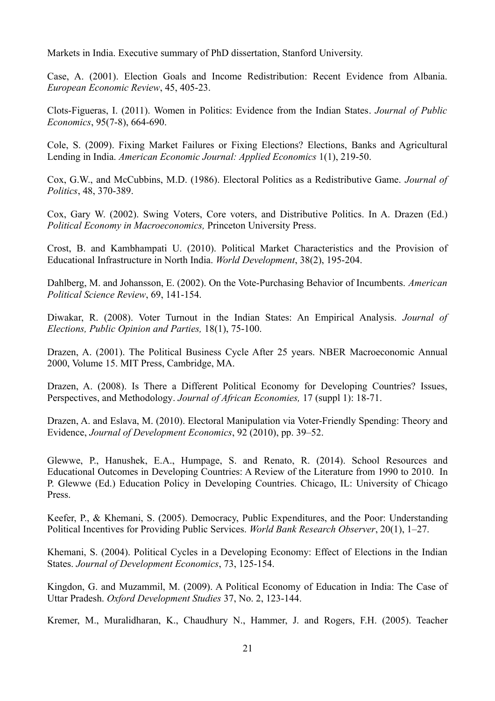Markets in India. Executive summary of PhD dissertation, Stanford University.

Case, A. (2001). Election Goals and Income Redistribution: Recent Evidence from Albania. *European Economic Review*, 45, 405-23.

Clots-Figueras, I. (2011). Women in Politics: Evidence from the Indian States. *Journal of Public Economics*, 95(7-8), 664-690.

Cole, S. (2009). Fixing Market Failures or Fixing Elections? Elections, Banks and Agricultural Lending in India. *American Economic Journal: Applied Economics* 1(1), 219-50.

Cox, G.W., and McCubbins, M.D. (1986). Electoral Politics as a Redistributive Game. *Journal of Politics*, 48, 370-389.

Cox, Gary W. (2002). Swing Voters, Core voters, and Distributive Politics. In A. Drazen (Ed.) *Political Economy in Macroeconomics,* Princeton University Press.

Crost, B. and Kambhampati U. (2010). Political Market Characteristics and the Provision of Educational Infrastructure in North India. *World Development*, 38(2), 195-204.

Dahlberg, M. and Johansson, E. (2002). On the Vote-Purchasing Behavior of Incumbents. *American Political Science Review*, 69, 141-154.

Diwakar, R. (2008). Voter Turnout in the Indian States: An Empirical Analysis. *Journal of Elections, Public Opinion and Parties,* 18(1), 75-100.

Drazen, A. (2001). The Political Business Cycle After 25 years. NBER Macroeconomic Annual 2000, Volume 15. MIT Press, Cambridge, MA.

Drazen, A. (2008). Is There a Different Political Economy for Developing Countries? Issues, Perspectives, and Methodology. *Journal of African Economies,* 17 (suppl 1): 18-71.

Drazen, A. and Eslava, M. (2010). Electoral Manipulation via Voter-Friendly Spending: Theory and Evidence, *Journal of Development Economics*, 92 (2010), pp. 39–52.

Glewwe, P., Hanushek, E.A., Humpage, S. and Renato, R. (2014). School Resources and Educational Outcomes in Developing Countries: A Review of the Literature from 1990 to 2010. In P. Glewwe (Ed.) Education Policy in Developing Countries. Chicago, IL: University of Chicago Press.

Keefer, P., & Khemani, S. (2005). Democracy, Public Expenditures, and the Poor: Understanding Political Incentives for Providing Public Services. *World Bank Research Observer*, 20(1), 1–27.

Khemani, S. (2004). Political Cycles in a Developing Economy: Effect of Elections in the Indian States. *Journal of Development Economics*, 73, 125-154.

Kingdon, G. and Muzammil, M. (2009). A Political Economy of Education in India: The Case of Uttar Pradesh. *Oxford Development Studies* 37, No. 2, 123-144.

Kremer, M., Muralidharan, K., Chaudhury N., Hammer, J. and Rogers, F.H. (2005). Teacher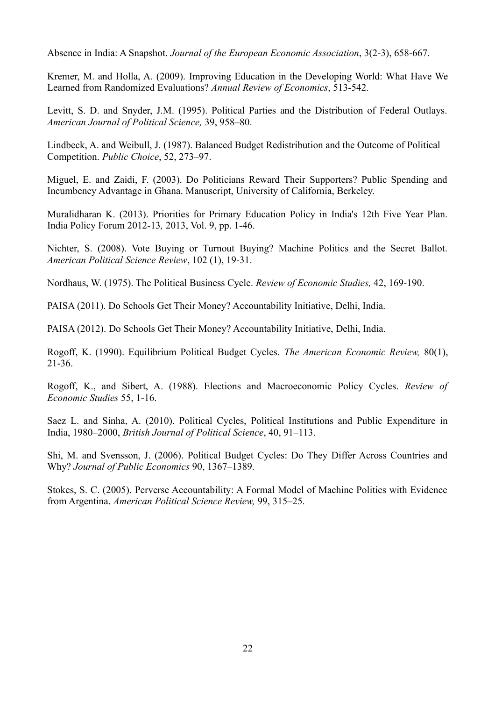Absence in India: A Snapshot. *Journal of the European Economic Association*, 3(2-3), 658-667.

Kremer, M. and Holla, A. (2009). Improving Education in the Developing World: What Have We Learned from Randomized Evaluations? *Annual Review of Economics*, 513-542.

Levitt, S. D. and Snyder, J.M. (1995). Political Parties and the Distribution of Federal Outlays. *American Journal of Political Science,* 39, 958–80.

Lindbeck, A. and Weibull, J. (1987). Balanced Budget Redistribution and the Outcome of Political Competition. *Public Choice*, 52, 273–97.

Miguel, E. and Zaidi, F. (2003). Do Politicians Reward Their Supporters? Public Spending and Incumbency Advantage in Ghana. Manuscript, University of California, Berkeley.

Muralidharan K. (2013). Priorities for Primary Education Policy in India's 12th Five Year Plan. India Policy Forum 2012-13*,* 2013, Vol. 9, pp. 1-46.

Nichter, S. (2008). Vote Buying or Turnout Buying? Machine Politics and the Secret Ballot. *American Political Science Review*, 102 (1), 19-31.

Nordhaus, W. (1975). The Political Business Cycle. *Review of Economic Studies,* 42, 169-190.

PAISA (2011). Do Schools Get Their Money? Accountability Initiative, Delhi, India.

PAISA (2012). Do Schools Get Their Money? Accountability Initiative, Delhi, India.

Rogoff, K. (1990). Equilibrium Political Budget Cycles. *The American Economic Review,* 80(1), 21-36.

Rogoff, K., and Sibert, A. (1988). Elections and Macroeconomic Policy Cycles. *Review of Economic Studies* 55, 1-16.

Saez L. and Sinha, A. (2010). Political Cycles, Political Institutions and Public Expenditure in India, 1980–2000, *British Journal of Political Science*, 40, 91–113.

Shi, M. and Svensson, J. (2006). Political Budget Cycles: Do They Differ Across Countries and Why? *Journal of Public Economics* 90, 1367–1389.

Stokes, S. C. (2005). Perverse Accountability: A Formal Model of Machine Politics with Evidence from Argentina. *American Political Science Review,* 99, 315–25.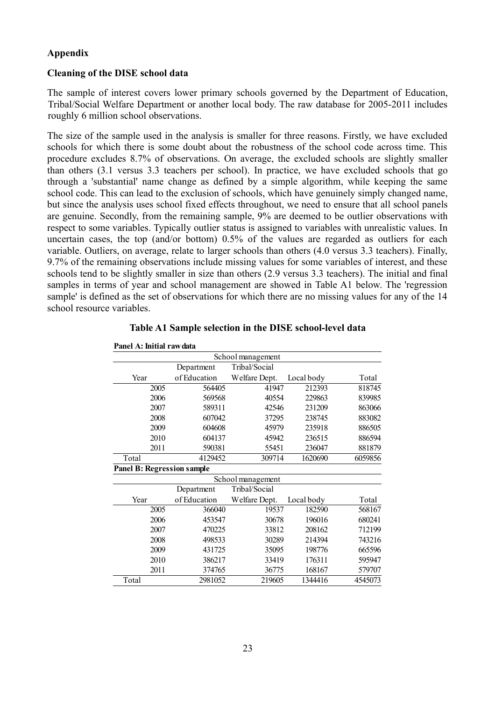#### **Appendix**

#### **Cleaning of the DISE school data**

The sample of interest covers lower primary schools governed by the Department of Education, Tribal/Social Welfare Department or another local body. The raw database for 2005-2011 includes roughly 6 million school observations.

The size of the sample used in the analysis is smaller for three reasons. Firstly, we have excluded schools for which there is some doubt about the robustness of the school code across time. This procedure excludes 8.7% of observations. On average, the excluded schools are slightly smaller than others (3.1 versus 3.3 teachers per school). In practice, we have excluded schools that go through a 'substantial' name change as defined by a simple algorithm, while keeping the same school code. This can lead to the exclusion of schools, which have genuinely simply changed name, but since the analysis uses school fixed effects throughout, we need to ensure that all school panels are genuine. Secondly, from the remaining sample, 9% are deemed to be outlier observations with respect to some variables. Typically outlier status is assigned to variables with unrealistic values. In uncertain cases, the top (and/or bottom) 0.5% of the values are regarded as outliers for each variable. Outliers, on average, relate to larger schools than others (4.0 versus 3.3 teachers). Finally, 9.7% of the remaining observations include missing values for some variables of interest, and these schools tend to be slightly smaller in size than others (2.9 versus 3.3 teachers). The initial and final samples in terms of year and school management are showed in Table A1 below. The 'regression sample' is defined as the set of observations for which there are no missing values for any of the 14 school resource variables.

| Panel A: Initial raw data         |              |                   |            |         |
|-----------------------------------|--------------|-------------------|------------|---------|
|                                   |              | School management |            |         |
|                                   | Department   | Tribal/Social     |            |         |
| Year                              | of Education | Welfare Dept.     | Local body | Total   |
| 2005                              | 564405       | 41947             | 212393     | 818745  |
| 2006                              | 569568       | 40554             | 229863     | 839985  |
| 2007                              | 589311       | 42546             | 231209     | 863066  |
| 2008                              | 607042       | 37295             | 238745     | 883082  |
| 2009                              | 604608       | 45979             | 235918     | 886505  |
| 2010                              | 604137       | 45942             | 236515     | 886594  |
| 2011                              | 590381       | 55451             | 236047     | 881879  |
| Total                             | 4129452      | 309714            | 1620690    | 6059856 |
| <b>Panel B: Regression sample</b> |              |                   |            |         |
|                                   |              | School management |            |         |
|                                   | Department   | Tribal/Social     |            |         |
| Year                              | of Education | Welfare Dept.     | Local body | Total   |
| 2005                              | 366040       | 19537             | 182590     | 568167  |
| 2006                              | 453547       | 30678             | 196016     | 680241  |
| 2007                              | 470225       | 33812             | 208162     | 712199  |
| 2008                              | 498533       | 30289             | 214394     | 743216  |
| 2009                              | 431725       | 35095             | 198776     | 665596  |
| 2010                              | 386217       | 33419             | 176311     | 595947  |
| 2011                              | 374765       | 36775             | 168167     | 579707  |
| Total                             | 2981052      | 219605            | 1344416    | 4545073 |

**Table A1 Sample selection in the DISE school-level data**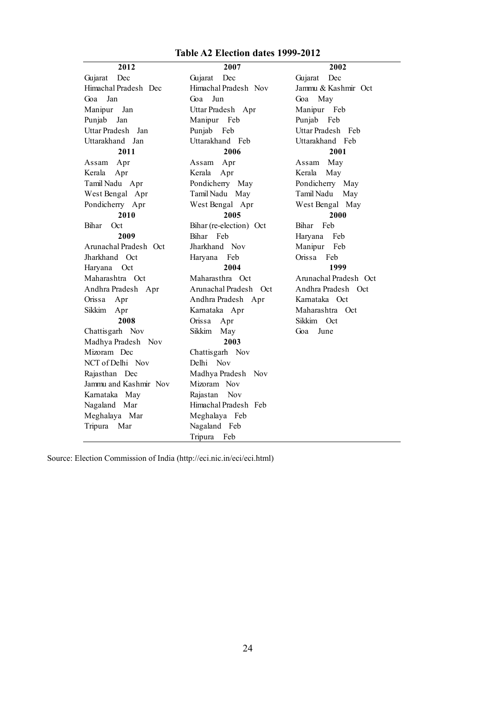#### **Table A2 Election dates 1999-2012**

**2012 2007 2002** Gujarat Dec Gujarat Dec Gujarat Dec Goa Jun Goa May Punjab Feb **2011 2006 2001** Assam Apr Assam Apr Assam May West Bengal Apr **2010 2005 2000 2009 2008** Sikkim May Goa June **2003** NCT of Delhi Nov Delhi Nov Himachal Pradesh Dec Himachal Pradesh Nov Jammu & Kashmir Oct Goa Jan Manipur Jan Uttar Pradesh Apr Manipur Feb Punjab Jan Manipur Feb Uttar Pradesh Jan Punjab Feb Uttar Pradesh Feb Uttarakhand Jan Uttarakhand Feb Uttarakhand Feb Kerala Apr Kerala Apr Kerala May Tamil Nadu Apr Pondicherry May Pondicherry May Pondicherry Apr Bihar Oct Bihar (re-election) Oct Bihar Feb Bihar Feb Haryana Feb Arunachal Pradesh Oct Jharkhand Nov Manipur Feb Jharkhand Oct Haryana Feb Orissa Feb Haryana Oct Maharashtra Oct Maharasthra Oct Arunachal Pradesh Oct Andhra Pradesh Apr Arunachal Pradesh Oct Andhra Pradesh Oct Orissa Apr Andhra Pradesh Apr Karnataka Oct Sikkim Apr Karnataka Apr Maharashtra Oct Orissa Apr Sikkim Oct Chattisgarh Nov Madhya Pradesh Nov Mizoram Dec Chattisgarh Nov Rajasthan Dec Madhya Pradesh Nov Jammu and Kashmir Nov Mizoram Nov Karnataka May Rajastan Nov Nagaland Mar Himachal Pradesh Feb Meghalaya Mar Meghalaya Feb Tripura Mar Nagaland Feb Tripura Feb

Punjab Feb West Bengal Apr West Bengal May **2004 1999** Tamil Nadu May Tamil Nadu May

Source: Election Commission of India (http://eci.nic.in/eci/eci.html)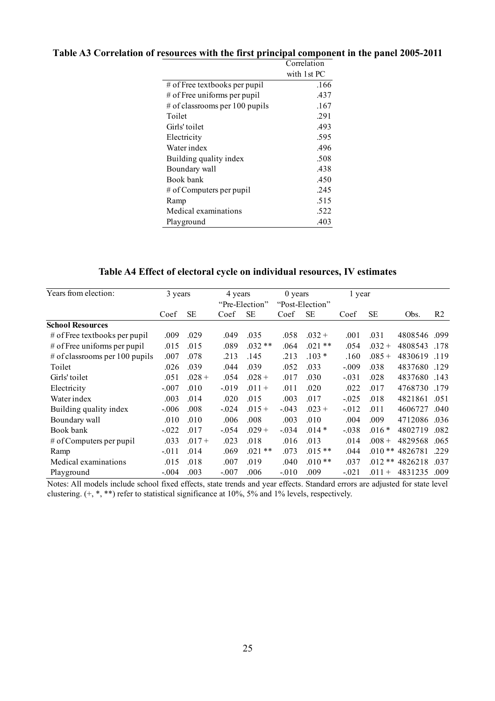|                                  | Correlation |
|----------------------------------|-------------|
|                                  | with 1st PC |
| $\#$ of Free textbooks per pupil | .166        |
| # of Free uniforms per pupil     | .437        |
| # of classrooms per 100 pupils   | .167        |
| Toilet                           | .291        |
| Girls' toilet                    | .493        |
| Electricity                      | .595        |
| Water index                      | .496        |
| Building quality index           | .508        |
| Boundary wall                    | .438        |
| Book bank                        | .450        |
| # of Computers per pupil         | .245        |
| Ramp                             | .515        |
| Medical examinations             | .522        |
| Playground                       | .403        |

# **Table A3 Correlation of resources with the first principal component in the panel 2005-2011**

# **Table A4 Effect of electoral cycle on individual resources, IV estimates**

| Years from election:            | 3 years  |           | 4 years  |                | $0$ years |                 | 1 year   |           |         |                |
|---------------------------------|----------|-----------|----------|----------------|-----------|-----------------|----------|-----------|---------|----------------|
|                                 |          |           |          | "Pre-Election" |           | "Post-Election" |          |           |         |                |
|                                 | Coef     | <b>SE</b> | Coef     | <b>SE</b>      | Coef      | <b>SE</b>       | Coef     | <b>SE</b> | Obs.    | R <sub>2</sub> |
| <b>School Resources</b>         |          |           |          |                |           |                 |          |           |         |                |
| $#$ of Free textbooks per pupil | .009     | .029      | .049     | .035           | .058      | $.032 +$        | .001     | .031      | 4808546 | .099           |
| # of Free uniforms per pupil    | .015     | .015      | .089     | $.032**$       | .064      | $.021**$        | .054     | $.032 +$  | 4808543 | .178           |
| # of classrooms per 100 pupils  | .007     | .078      | .213     | .145           | .213      | $.103*$         | .160     | $.085 +$  | 4830619 | .119           |
| Toilet                          | .026     | .039      | .044     | .039           | .052      | .033            | $-0.09$  | .038      | 4837680 | .129           |
| Girls' toilet                   | .051     | $.028 +$  | .054     | $.028 +$       | .017      | .030            | $-0.031$ | .028      | 4837680 | .143           |
| Electricity                     | $-.007$  | .010      | $-019$   | $.011 +$       | .011      | .020            | .022     | .017      | 4768730 | .179           |
| Water index                     | .003     | .014      | .020     | .015           | .003      | .017            | $-0.025$ | .018      | 4821861 | .051           |
| Building quality index          | $-.006$  | .008      | $-0.024$ | $.015 +$       | $-0.043$  | $.023 +$        | $-0.012$ | .011      | 4606727 | .040           |
| Boundary wall                   | .010     | .010      | .006     | .008           | .003      | .010            | .004     | .009      | 4712086 | .036           |
| Book bank                       | $-0.022$ | .017      | $-0.54$  | $.029 +$       | $-0.034$  | $.014*$         | $-0.038$ | $.016*$   | 4802719 | .082           |
| # of Computers per pupil        | .033     | $.017 +$  | .023     | .018           | .016      | .013            | .014     | $.008 +$  | 4829568 | .065           |
| Ramp                            | $-0.011$ | .014      | .069     | $.021**$       | .073      | $.015**$        | .044     | $.010**$  | 4826781 | .229           |
| Medical examinations            | .015     | .018      | .007     | .019           | .040      | $.010**$        | .037     | $.012**$  | 4826218 | .037           |
| Playground                      | $-.004$  | .003      | $-.007$  | .006           | $-010$    | .009            | $-0.021$ | $.011 +$  | 4831235 | .009           |

Notes: All models include school fixed effects, state trends and year effects. Standard errors are adjusted for state level clustering. (+, \*, \*\*) refer to statistical significance at 10%, 5% and 1% levels, respectively.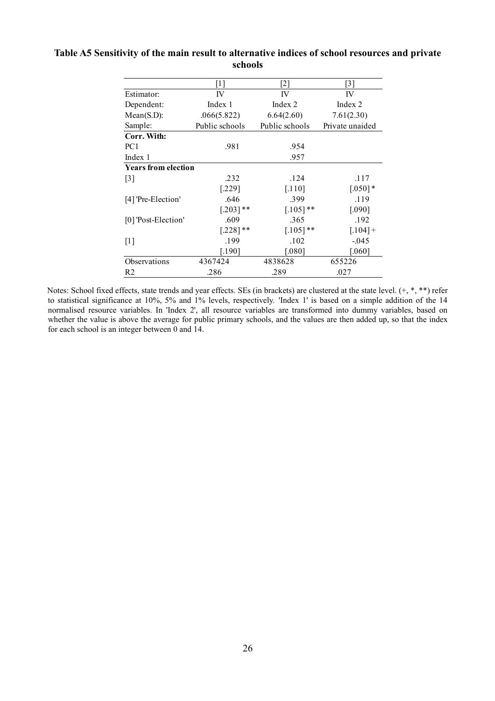|                            | $[1]$          | $[2]$          | $[3]$           |  |
|----------------------------|----------------|----------------|-----------------|--|
| Estimator:                 | IV             | IV             | IV              |  |
| Dependent:                 | Index 1        | Index 2        | Index 2         |  |
| Mean(S.D):                 | .066(5.822)    | 6.64(2.60)     | 7.61(2.30)      |  |
| Sample:                    | Public schools | Public schools | Private unaided |  |
| Corr. With:                |                |                |                 |  |
| PC <sub>1</sub>            | .981           | .954           |                 |  |
| Index 1                    |                | .957           |                 |  |
| <b>Years from election</b> |                |                |                 |  |
| [3]                        | .232           | .124           | .117            |  |
|                            | $[.229]$       | [.110]         | $[.050]$ *      |  |
| [4] 'Pre-Election'         | .646           | .399           | .119            |  |
|                            | $[.203]$ **    | $[.105]$ **    | [.090]          |  |
| [0] 'Post-Election'        | .609           | .365           | .192            |  |
|                            | $[.228]$ **    | $[.105]$ **    | $[.104] +$      |  |
| $[1]$                      | .199           | .102           | $-0.045$        |  |
|                            | [.190]         | [.080]         | $[.060]$        |  |
| Observations               | 4367424        | 4838628        | 655226          |  |
| R <sub>2</sub>             | .286           | .289           | .027            |  |

#### **Table A5 Sensitivity of the main result to alternative indices of school resources and private schools**

Notes: School fixed effects, state trends and year effects. SEs (in brackets) are clustered at the state level. (+, \*, \*\*) refer to statistical significance at 10%, 5% and 1% levels, respectively. 'Index 1' is based on a simple addition of the 14 normalised resource variables. In 'Index 2', all resource variables are transformed into dummy variables, based on whether the value is above the average for public primary schools, and the values are then added up, so that the index for each school is an integer between 0 and 14.